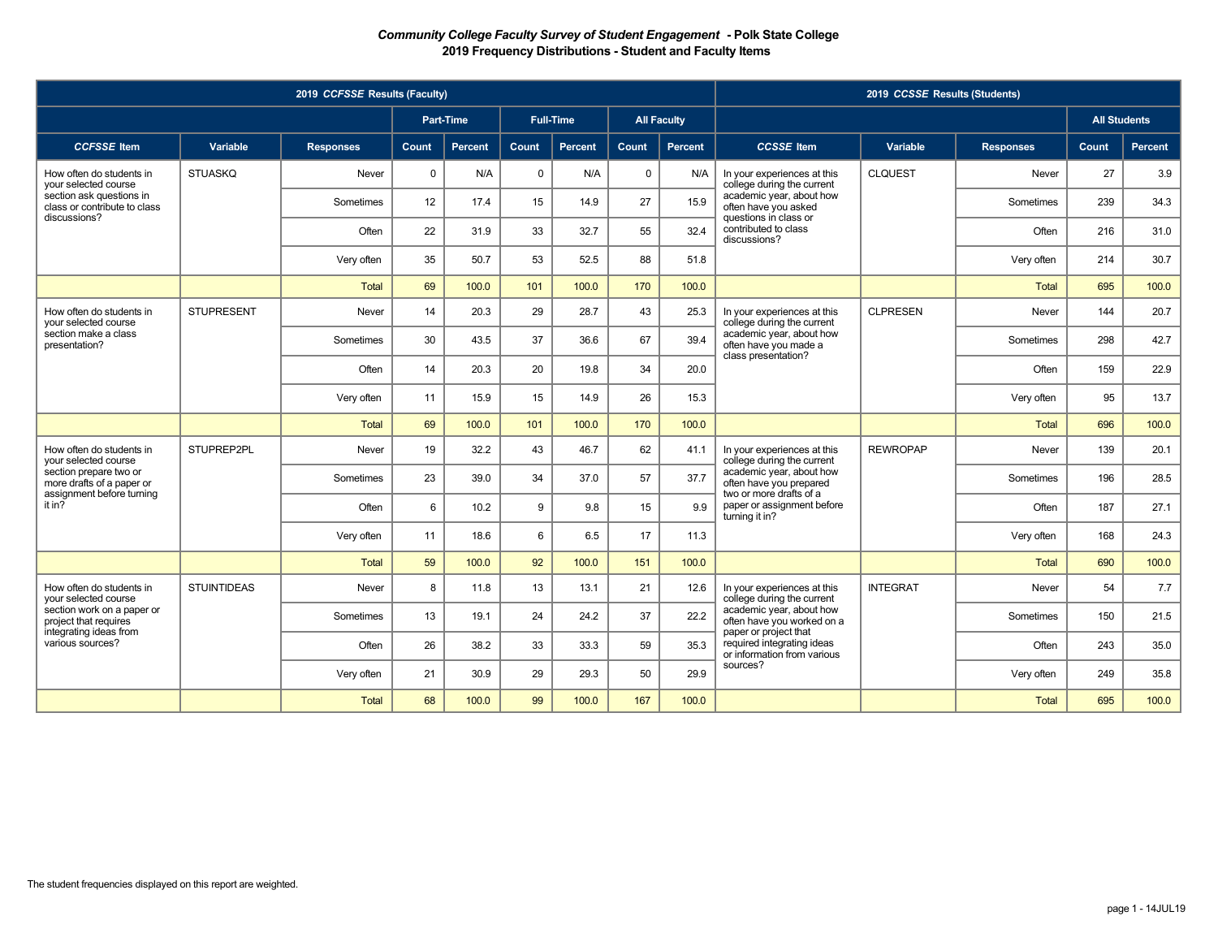|                                                                                  |                    | 2019 CCFSSE Results (Faculty) |              |                  |             |                  |              |                    |                                                                                    | 2019 CCSSE Results (Students) |                  |                     |         |
|----------------------------------------------------------------------------------|--------------------|-------------------------------|--------------|------------------|-------------|------------------|--------------|--------------------|------------------------------------------------------------------------------------|-------------------------------|------------------|---------------------|---------|
|                                                                                  |                    |                               |              | <b>Part-Time</b> |             | <b>Full-Time</b> |              | <b>All Faculty</b> |                                                                                    |                               |                  | <b>All Students</b> |         |
| <b>CCFSSE</b> Item                                                               | Variable           | <b>Responses</b>              | <b>Count</b> | Percent          | Count       | Percent          | <b>Count</b> | Percent            | <b>CCSSE</b> Item                                                                  | Variable                      | <b>Responses</b> | Count               | Percent |
| How often do students in<br>your selected course                                 | <b>STUASKQ</b>     | Never                         | $\mathbf{0}$ | N/A              | $\mathbf 0$ | N/A              | $\mathbf 0$  | N/A                | In your experiences at this<br>college during the current                          | <b>CLQUEST</b>                | Never            | 27                  | 3.9     |
| section ask questions in<br>class or contribute to class                         |                    | Sometimes                     | 12           | 17.4             | 15          | 14.9             | 27           | 15.9               | academic year, about how<br>often have you asked                                   |                               | Sometimes        | 239                 | 34.3    |
| discussions?                                                                     |                    | Often                         | 22           | 31.9             | 33          | 32.7             | 55           | 32.4               | questions in class or<br>contributed to class<br>discussions?                      |                               | Often            | 216                 | 31.0    |
|                                                                                  |                    | Very often                    | 35           | 50.7             | 53          | 52.5             | 88           | 51.8               |                                                                                    |                               | Very often       | 214                 | 30.7    |
|                                                                                  |                    | Total                         | 69           | 100.0            | 101         | 100.0            | 170          | 100.0              |                                                                                    |                               | <b>Total</b>     | 695                 | 100.0   |
| How often do students in<br>your selected course                                 | <b>STUPRESENT</b>  | Never                         | 14           | 20.3             | 29          | 28.7             | 43           | 25.3               | In your experiences at this<br>college during the current                          | <b>CLPRESEN</b>               | Never            | 144                 | 20.7    |
| section make a class<br>presentation?                                            |                    | Sometimes                     | 30           | 43.5             | 37          | 36.6             | 67           | 39.4               | academic year, about how<br>often have you made a                                  |                               | Sometimes        | 298                 | 42.7    |
|                                                                                  |                    | Often                         | 14           | 20.3             | 20          | 19.8             | 34           | 20.0               | class presentation?                                                                |                               | Often            | 159                 | 22.9    |
|                                                                                  |                    | Very often                    | 11           | 15.9             | 15          | 14.9             | 26           | 15.3               |                                                                                    |                               | Very often       | 95                  | 13.7    |
|                                                                                  |                    | <b>Total</b>                  | 69           | 100.0            | 101         | 100.0            | 170          | 100.0              |                                                                                    |                               | <b>Total</b>     | 696                 | 100.0   |
| How often do students in<br>vour selected course                                 | STUPREP2PL         | Never                         | 19           | 32.2             | 43          | 46.7             | 62           | 41.1               | In your experiences at this<br>college during the current                          | <b>REWROPAP</b>               | Never            | 139                 | 20.1    |
| section prepare two or<br>more drafts of a paper or<br>assignment before turning |                    | Sometimes                     | 23           | 39.0             | 34          | 37.0             | 57           | 37.7               | academic year, about how<br>often have you prepared<br>two or more drafts of a     |                               | Sometimes        | 196                 | 28.5    |
| it in?                                                                           |                    | Often                         | 6            | 10.2             | 9           | 9.8              | 15           | 9.9                | paper or assignment before<br>turning it in?                                       |                               | Often            | 187                 | 27.1    |
|                                                                                  |                    | Very often                    | 11           | 18.6             | 6           | 6.5              | 17           | 11.3               |                                                                                    |                               | Very often       | 168                 | 24.3    |
|                                                                                  |                    | <b>Total</b>                  | 59           | 100.0            | 92          | 100.0            | 151          | 100.0              |                                                                                    |                               | <b>Total</b>     | 690                 | 100.0   |
| How often do students in<br>vour selected course                                 | <b>STUINTIDEAS</b> | Never                         | 8            | 11.8             | 13          | 13.1             | 21           | 12.6               | In your experiences at this<br>college during the current                          | <b>INTEGRAT</b>               | Never            | 54                  | 7.7     |
| section work on a paper or<br>project that requires                              |                    | Sometimes                     | 13           | 19.1             | 24          | 24.2             | 37           | 22.2               | academic year, about how<br>often have you worked on a                             |                               | Sometimes        | 150                 | 21.5    |
| integrating ideas from<br>various sources?                                       |                    | Often                         | 26           | 38.2             | 33          | 33.3             | 59           | 35.3               | paper or project that<br>required integrating ideas<br>or information from various |                               | Often            | 243                 | 35.0    |
|                                                                                  |                    | Very often                    | 21           | 30.9             | 29          | 29.3             | 50           | 29.9               | sources?                                                                           |                               | Very often       | 249                 | 35.8    |
|                                                                                  |                    | <b>Total</b>                  | 68           | 100.0            | 99          | 100.0            | 167          | 100.0              |                                                                                    |                               | <b>Total</b>     | 695                 | 100.0   |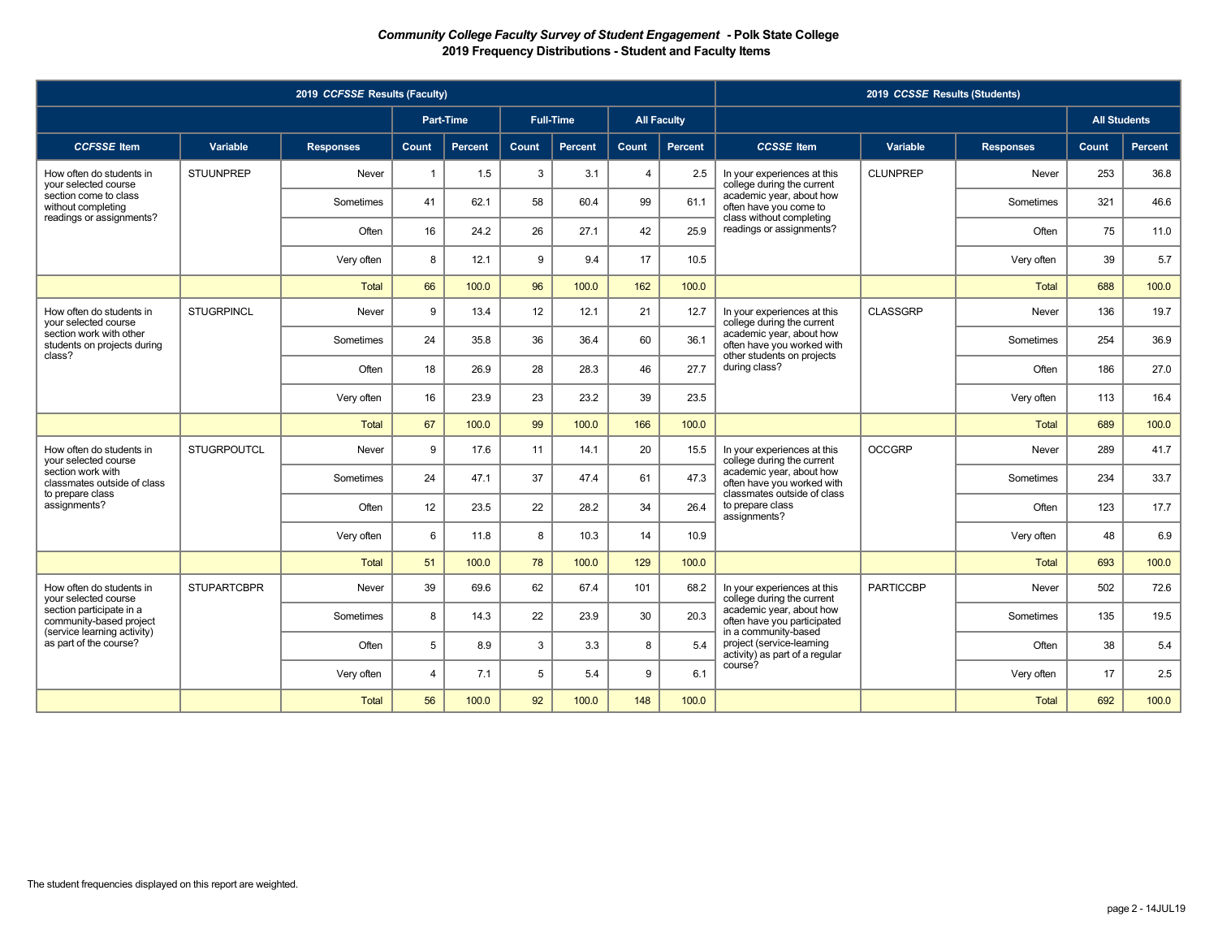|                                                        |                    | 2019 CCFSSE Results (Faculty) |                |                  |       |                  |                |                    |                                                                                     | 2019 CCSSE Results (Students) |                  |                     |         |
|--------------------------------------------------------|--------------------|-------------------------------|----------------|------------------|-------|------------------|----------------|--------------------|-------------------------------------------------------------------------------------|-------------------------------|------------------|---------------------|---------|
|                                                        |                    |                               |                | <b>Part-Time</b> |       | <b>Full-Time</b> |                | <b>All Faculty</b> |                                                                                     |                               |                  | <b>All Students</b> |         |
| <b>CCFSSE</b> Item                                     | Variable           | <b>Responses</b>              | <b>Count</b>   | Percent          | Count | Percent          | <b>Count</b>   | Percent            | <b>CCSSE</b> Item                                                                   | Variable                      | <b>Responses</b> | Count               | Percent |
| How often do students in<br>your selected course       | <b>STUUNPREP</b>   | Never                         | $\mathbf{1}$   | 1.5              | 3     | 3.1              | $\overline{4}$ | 2.5                | In your experiences at this<br>college during the current                           | <b>CLUNPREP</b>               | Never            | 253                 | 36.8    |
| section come to class<br>without completing            |                    | Sometimes                     | 41             | 62.1             | 58    | 60.4             | 99             | 61.1               | academic year, about how<br>often have you come to                                  |                               | Sometimes        | 321                 | 46.6    |
| readings or assignments?                               |                    | Often                         | 16             | 24.2             | 26    | 27.1             | 42             | 25.9               | class without completing<br>readings or assignments?                                |                               | Often            | 75                  | 11.0    |
|                                                        |                    | Very often                    | 8              | 12.1             | 9     | 9.4              | 17             | 10.5               |                                                                                     |                               | Very often       | 39                  | 5.7     |
|                                                        |                    | <b>Total</b>                  | 66             | 100.0            | 96    | 100.0            | 162            | 100.0              |                                                                                     |                               | <b>Total</b>     | 688                 | 100.0   |
| How often do students in<br>vour selected course       | <b>STUGRPINCL</b>  | Never                         | 9              | 13.4             | 12    | 12.1             | 21             | 12.7               | In your experiences at this<br>college during the current                           | <b>CLASSGRP</b>               | Never            | 136                 | 19.7    |
| section work with other<br>students on projects during |                    | Sometimes                     | 24             | 35.8             | 36    | 36.4             | 60             | 36.1               | academic year, about how<br>often have you worked with                              |                               | Sometimes        | 254                 | 36.9    |
| class?                                                 |                    | Often                         | 18             | 26.9             | 28    | 28.3             | 46             | 27.7               | other students on projects<br>during class?                                         |                               | Often            | 186                 | 27.0    |
|                                                        |                    | Very often                    | 16             | 23.9             | 23    | 23.2             | 39             | 23.5               |                                                                                     |                               | Very often       | 113                 | 16.4    |
|                                                        |                    | <b>Total</b>                  | 67             | 100.0            | 99    | 100.0            | 166            | 100.0              |                                                                                     |                               | <b>Total</b>     | 689                 | 100.0   |
| How often do students in<br>vour selected course       | <b>STUGRPOUTCL</b> | Never                         | 9              | 17.6             | 11    | 14.1             | 20             | 15.5               | In your experiences at this<br>college during the current                           | <b>OCCGRP</b>                 | Never            | 289                 | 41.7    |
| section work with<br>classmates outside of class       |                    | Sometimes                     | 24             | 47.1             | 37    | 47.4             | 61             | 47.3               | academic year, about how<br>often have you worked with                              |                               | Sometimes        | 234                 | 33.7    |
| to prepare class<br>assignments?                       |                    | Often                         | 12             | 23.5             | 22    | 28.2             | 34             | 26.4               | classmates outside of class<br>to prepare class<br>assignments?                     |                               | Often            | 123                 | 17.7    |
|                                                        |                    | Very often                    | 6              | 11.8             | 8     | 10.3             | 14             | 10.9               |                                                                                     |                               | Very often       | 48                  | 6.9     |
|                                                        |                    | <b>Total</b>                  | 51             | 100.0            | 78    | 100.0            | 129            | 100.0              |                                                                                     |                               | <b>Total</b>     | 693                 | 100.0   |
| How often do students in<br>vour selected course       | <b>STUPARTCBPR</b> | Never                         | 39             | 69.6             | 62    | 67.4             | 101            | 68.2               | In your experiences at this<br>college during the current                           | <b>PARTICCBP</b>              | Never            | 502                 | 72.6    |
| section participate in a<br>community-based project    |                    | Sometimes                     | 8              | 14.3             | 22    | 23.9             | 30             | 20.3               | academic year, about how<br>often have you participated                             |                               | Sometimes        | 135                 | 19.5    |
| (service learning activity)<br>as part of the course?  |                    | Often                         | 5              | 8.9              | 3     | 3.3              | 8              | 5.4                | in a community-based<br>project (service-learning<br>activity) as part of a regular |                               | Often            | 38                  | 5.4     |
|                                                        |                    | Very often                    | $\overline{4}$ | 7.1              | 5     | 5.4              | 9              | 6.1                | course?                                                                             |                               | Very often       | 17                  | 2.5     |
|                                                        |                    | <b>Total</b>                  | 56             | 100.0            | 92    | 100.0            | 148            | 100.0              |                                                                                     |                               | <b>Total</b>     | 692                 | 100.0   |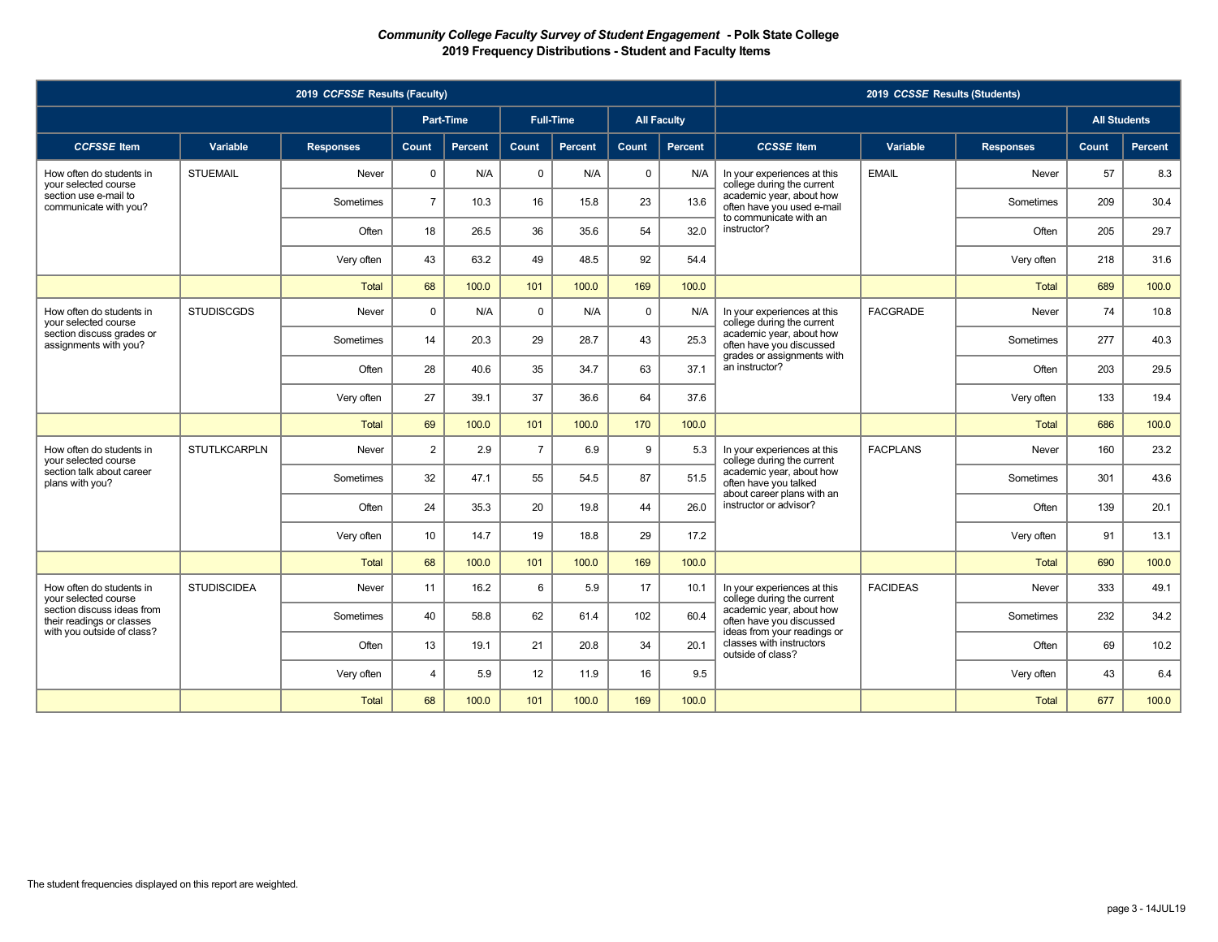|                                                         |                     | 2019 CCFSSE Results (Faculty) |                 |                  |                |                  |              |                    |                                                                              | 2019 CCSSE Results (Students) |                  |                     |         |
|---------------------------------------------------------|---------------------|-------------------------------|-----------------|------------------|----------------|------------------|--------------|--------------------|------------------------------------------------------------------------------|-------------------------------|------------------|---------------------|---------|
|                                                         |                     |                               |                 | <b>Part-Time</b> |                | <b>Full-Time</b> |              | <b>All Faculty</b> |                                                                              |                               |                  | <b>All Students</b> |         |
| <b>CCFSSE</b> Item                                      | Variable            | <b>Responses</b>              | <b>Count</b>    | Percent          | Count          | Percent          | <b>Count</b> | Percent            | <b>CCSSE</b> Item                                                            | Variable                      | <b>Responses</b> | Count,              | Percent |
| How often do students in<br>your selected course        | <b>STUEMAIL</b>     | Never                         | $\mathbf 0$     | N/A              | $\mathbf 0$    | N/A              | $\mathbf 0$  | N/A                | In your experiences at this<br>college during the current                    | <b>EMAIL</b>                  | Never            | 57                  | 8.3     |
| section use e-mail to<br>communicate with you?          |                     | Sometimes                     | $\overline{7}$  | 10.3             | 16             | 15.8             | 23           | 13.6               | academic year, about how<br>often have you used e-mail                       |                               | Sometimes        | 209                 | 30.4    |
|                                                         |                     | Often                         | 18              | 26.5             | 36             | 35.6             | 54           | 32.0               | to communicate with an<br>instructor?                                        |                               | Often            | 205                 | 29.7    |
|                                                         |                     | Very often                    | 43              | 63.2             | 49             | 48.5             | 92           | 54.4               |                                                                              |                               | Very often       | 218                 | 31.6    |
|                                                         |                     | <b>Total</b>                  | 68              | 100.0            | 101            | 100.0            | 169          | 100.0              |                                                                              |                               | <b>Total</b>     | 689                 | 100.0   |
| How often do students in<br>your selected course        | <b>STUDISCGDS</b>   | Never                         | $\Omega$        | N/A              | $\mathbf 0$    | N/A              | $\mathbf 0$  | N/A                | In your experiences at this<br>college during the current                    | <b>FACGRADE</b>               | Never            | 74                  | 10.8    |
| section discuss grades or<br>assignments with you?      |                     | Sometimes                     | 14              | 20.3             | 29             | 28.7             | 43           | 25.3               | academic year, about how<br>often have you discussed                         |                               | Sometimes        | 277                 | 40.3    |
|                                                         |                     | Often                         | 28              | 40.6             | 35             | 34.7             | 63           | 37.1               | grades or assignments with<br>an instructor?                                 |                               | Often            | 203                 | 29.5    |
|                                                         |                     | Very often                    | 27              | 39.1             | 37             | 36.6             | 64           | 37.6               |                                                                              |                               | Very often       | 133                 | 19.4    |
|                                                         |                     | <b>Total</b>                  | 69              | 100.0            | 101            | 100.0            | 170          | 100.0              |                                                                              |                               | <b>Total</b>     | 686                 | 100.0   |
| How often do students in<br>vour selected course        | <b>STUTLKCARPLN</b> | Never                         | $\overline{2}$  | 2.9              | $\overline{7}$ | 6.9              | 9            | 5.3                | In your experiences at this<br>college during the current                    | <b>FACPLANS</b>               | Never            | 160                 | 23.2    |
| section talk about career<br>plans with you?            |                     | Sometimes                     | 32              | 47.1             | 55             | 54.5             | 87           | 51.5               | academic year, about how<br>often have you talked                            |                               | Sometimes        | 301                 | 43.6    |
|                                                         |                     | Often                         | 24              | 35.3             | 20             | 19.8             | 44           | 26.0               | about career plans with an<br>instructor or advisor?                         |                               | Often            | 139                 | 20.1    |
|                                                         |                     | Very often                    | 10 <sup>°</sup> | 14.7             | 19             | 18.8             | 29           | 17.2               |                                                                              |                               | Very often       | 91                  | 13.1    |
|                                                         |                     | <b>Total</b>                  | 68              | 100.0            | 101            | 100.0            | 169          | 100.0              |                                                                              |                               | <b>Total</b>     | 690                 | 100.0   |
| How often do students in<br>vour selected course        | <b>STUDISCIDEA</b>  | Never                         | 11              | 16.2             | 6              | 5.9              | 17           | 10.1               | In your experiences at this<br>college during the current                    | <b>FACIDEAS</b>               | Never            | 333                 | 49.1    |
| section discuss ideas from<br>their readings or classes |                     | Sometimes                     | 40              | 58.8             | 62             | 61.4             | 102          | 60.4               | academic year, about how<br>often have you discussed                         |                               | Sometimes        | 232                 | 34.2    |
| with you outside of class?                              |                     | Often                         | 13              | 19.1             | 21             | 20.8             | 34           | 20.1               | ideas from your readings or<br>classes with instructors<br>outside of class? |                               | Often            | 69                  | 10.2    |
|                                                         |                     | Very often                    | $\overline{4}$  | 5.9              | 12             | 11.9             | 16           | 9.5                |                                                                              |                               | Very often       | 43                  | 6.4     |
|                                                         |                     | <b>Total</b>                  | 68              | 100.0            | 101            | 100.0            | 169          | 100.0              |                                                                              |                               | <b>Total</b>     | 677                 | 100.0   |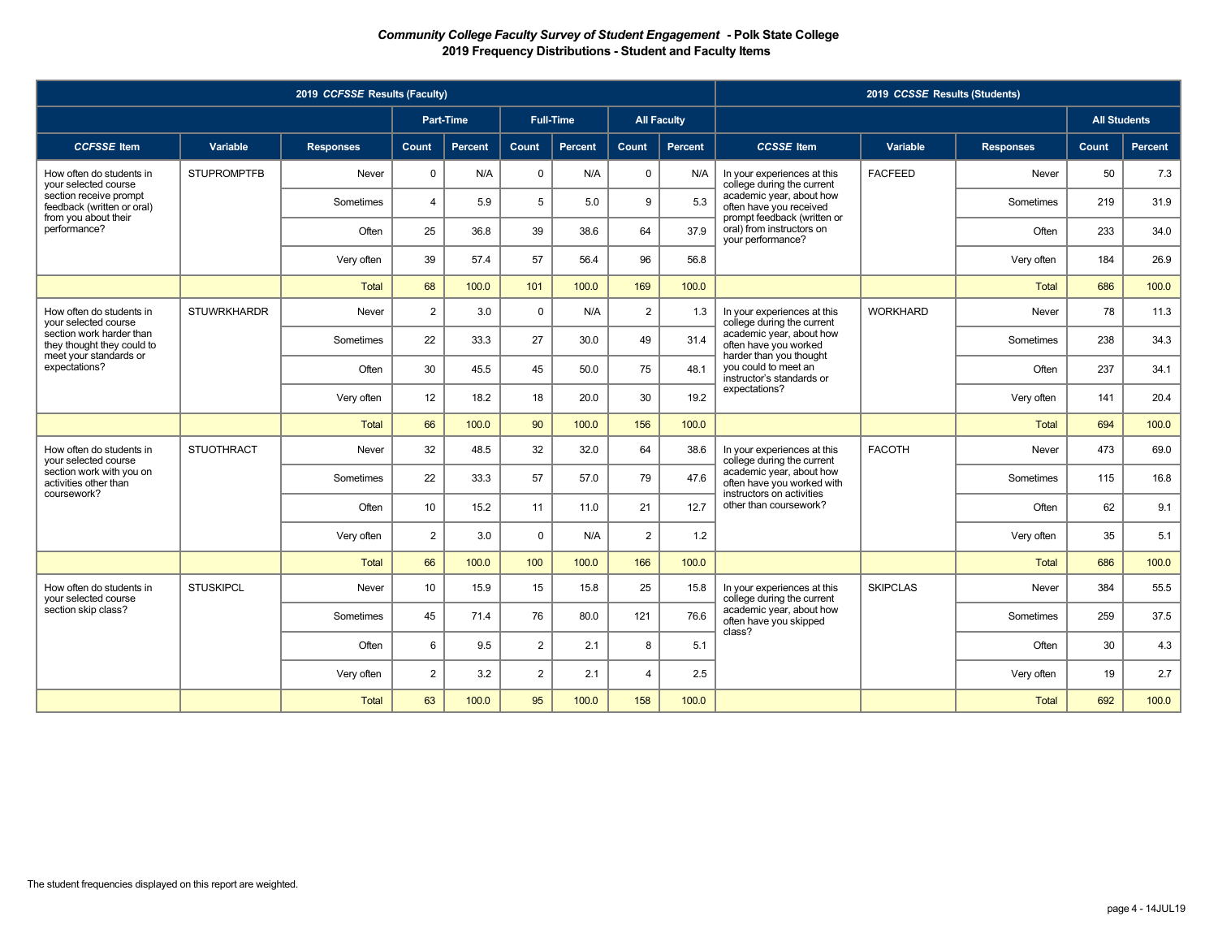|                                                        |                    | 2019 CCFSSE Results (Faculty) |                 |                |                |                  |                |                    |                                                                               | 2019 CCSSE Results (Students) |                  |                     |         |
|--------------------------------------------------------|--------------------|-------------------------------|-----------------|----------------|----------------|------------------|----------------|--------------------|-------------------------------------------------------------------------------|-------------------------------|------------------|---------------------|---------|
|                                                        |                    |                               |                 | Part-Time      |                | <b>Full-Time</b> |                | <b>All Faculty</b> |                                                                               |                               |                  | <b>All Students</b> |         |
| <b>CCFSSE</b> Item                                     | Variable           | <b>Responses</b>              | Count           | <b>Percent</b> | Count          | <b>Percent</b>   | Count          | <b>Percent</b>     | <b>CCSSE</b> Item                                                             | Variable                      | <b>Responses</b> | Count               | Percent |
| How often do students in<br>your selected course       | <b>STUPROMPTFB</b> | Never                         | 0               | N/A            | $\mathbf 0$    | N/A              | $\mathbf 0$    | N/A                | In your experiences at this<br>college during the current                     | <b>FACFEED</b>                | Never            | 50                  | 7.3     |
| section receive prompt<br>feedback (written or oral)   |                    | Sometimes                     | $\overline{4}$  | 5.9            | 5              | 5.0              | 9              | 5.3                | academic year, about how<br>often have you received                           |                               | Sometimes        | 219                 | 31.9    |
| from you about their<br>performance?                   |                    | Often                         | 25              | 36.8           | 39             | 38.6             | 64             | 37.9               | prompt feedback (written or<br>oral) from instructors on<br>your performance? |                               | Often            | 233                 | 34.0    |
|                                                        |                    | Very often                    | 39              | 57.4           | 57             | 56.4             | 96             | 56.8               |                                                                               |                               | Very often       | 184                 | 26.9    |
|                                                        |                    | <b>Total</b>                  | 68              | 100.0          | 101            | 100.0            | 169            | 100.0              |                                                                               |                               | <b>Total</b>     | 686                 | 100.0   |
| How often do students in<br>vour selected course       | <b>STUWRKHARDR</b> | Never                         | $\overline{2}$  | 3.0            | $\Omega$       | N/A              | $\overline{2}$ | 1.3                | In your experiences at this<br>college during the current                     | <b>WORKHARD</b>               | Never            | 78                  | 11.3    |
| section work harder than<br>they thought they could to |                    | Sometimes                     | 22              | 33.3           | 27             | 30.0             | 49             | 31.4               | academic year, about how<br>often have you worked                             |                               | Sometimes        | 238                 | 34.3    |
| meet your standards or<br>expectations?                |                    | Often                         | 30              | 45.5           | 45             | 50.0             | 75             | 48.1               | harder than you thought<br>you could to meet an<br>instructor's standards or  |                               | Often            | 237                 | 34.1    |
|                                                        |                    | Very often                    | 12              | 18.2           | 18             | 20.0             | 30             | 19.2               | expectations?                                                                 |                               | Very often       | 141                 | 20.4    |
|                                                        |                    | Total                         | 66              | 100.0          | 90             | 100.0            | 156            | 100.0              |                                                                               |                               | <b>Total</b>     | 694                 | 100.0   |
| How often do students in<br>your selected course       | <b>STUOTHRACT</b>  | Never                         | 32              | 48.5           | 32             | 32.0             | 64             | 38.6               | In your experiences at this<br>college during the current                     | <b>FACOTH</b>                 | Never            | 473                 | 69.0    |
| section work with you on<br>activities other than      |                    | Sometimes                     | 22              | 33.3           | 57             | 57.0             | 79             | 47.6               | academic year, about how<br>often have you worked with                        |                               | Sometimes        | 115                 | 16.8    |
| coursework?                                            |                    | Often                         | 10              | 15.2           | 11             | 11.0             | 21             | 12.7               | instructors on activities<br>other than coursework?                           |                               | Often            | 62                  | 9.1     |
|                                                        |                    | Very often                    | $\overline{2}$  | 3.0            | $\mathbf{0}$   | N/A              | $\overline{2}$ | 1.2                |                                                                               |                               | Very often       | 35                  | 5.1     |
|                                                        |                    | Total                         | 66              | 100.0          | 100            | 100.0            | 166            | 100.0              |                                                                               |                               | <b>Total</b>     | 686                 | 100.0   |
| How often do students in<br>vour selected course       | <b>STUSKIPCL</b>   | Never                         | 10 <sup>°</sup> | 15.9           | 15             | 15.8             | 25             | 15.8               | In your experiences at this<br>college during the current                     | <b>SKIPCLAS</b>               | Never            | 384                 | 55.5    |
| section skip class?                                    |                    | Sometimes                     | 45              | 71.4           | 76             | 80.0             | 121            | 76.6               | academic year, about how<br>often have you skipped<br>class?                  |                               | Sometimes        | 259                 | 37.5    |
|                                                        |                    | Often                         | 6               | 9.5            | $\overline{2}$ | 2.1              | 8              | 5.1                |                                                                               |                               | Often            | 30                  | 4.3     |
|                                                        |                    | Very often                    | $\overline{2}$  | 3.2            | $\overline{2}$ | 2.1              | $\overline{4}$ | 2.5                |                                                                               |                               | Very often       | 19                  | 2.7     |
|                                                        |                    | Total                         | 63              | 100.0          | 95             | 100.0            | 158            | 100.0              |                                                                               |                               | <b>Total</b>     | 692                 | 100.0   |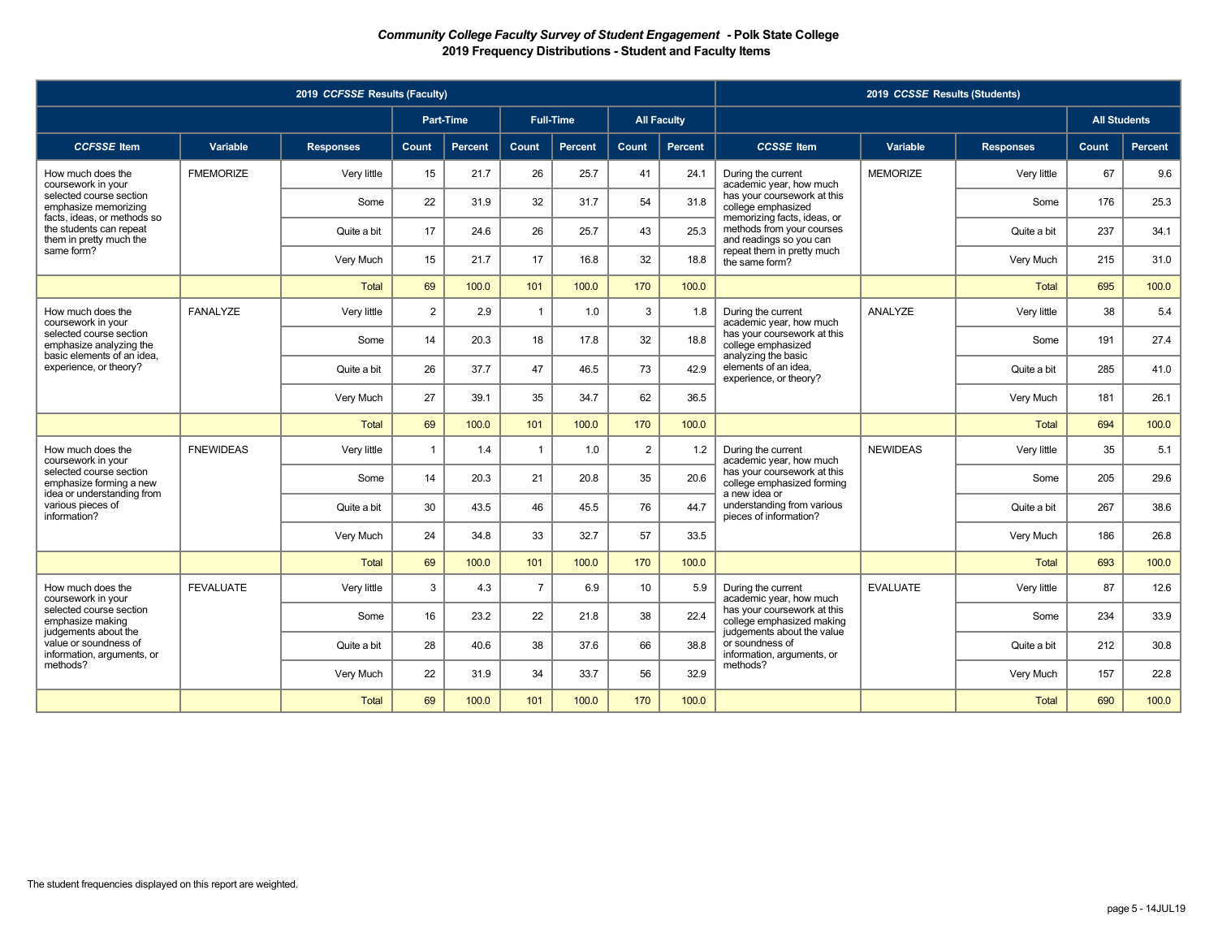|                                                                                   |                  | 2019 CCFSSE Results (Faculty) |                |                  |                |                  |       |                    |                                                                                     | 2019 CCSSE Results (Students) |                  |                     |         |
|-----------------------------------------------------------------------------------|------------------|-------------------------------|----------------|------------------|----------------|------------------|-------|--------------------|-------------------------------------------------------------------------------------|-------------------------------|------------------|---------------------|---------|
|                                                                                   |                  |                               |                | <b>Part-Time</b> |                | <b>Full-Time</b> |       | <b>All Faculty</b> |                                                                                     |                               |                  | <b>All Students</b> |         |
| <b>CCFSSE</b> Item                                                                | Variable         | <b>Responses</b>              | Count          | <b>Percent</b>   | Count          | <b>Percent</b>   | Count | <b>Percent</b>     | <b>CCSSE</b> Item                                                                   | Variable                      | <b>Responses</b> | Count,              | Percent |
| How much does the<br>coursework in your                                           | <b>FMEMORIZE</b> | Very little                   | 15             | 21.7             | 26             | 25.7             | 41    | 24.1               | During the current<br>academic year, how much                                       | <b>MEMORIZE</b>               | Very little      | 67                  | 9.6     |
| selected course section<br>emphasize memorizing                                   |                  | Some                          | 22             | 31.9             | 32             | 31.7             | 54    | 31.8               | has your coursework at this<br>college emphasized                                   |                               | Some             | 176                 | 25.3    |
| facts, ideas, or methods so<br>the students can repeat<br>them in pretty much the |                  | Quite a bit                   | 17             | 24.6             | 26             | 25.7             | 43    | 25.3               | memorizing facts, ideas, or<br>methods from your courses<br>and readings so you can |                               | Quite a bit      | 237                 | 34.1    |
| same form?                                                                        |                  | Very Much                     | 15             | 21.7             | 17             | 16.8             | 32    | 18.8               | repeat them in pretty much<br>the same form?                                        |                               | Very Much        | 215                 | 31.0    |
|                                                                                   |                  | Total                         | 69             | 100.0            | 101            | 100.0            | 170   | 100.0              |                                                                                     |                               | <b>Total</b>     | 695                 | 100.0   |
| How much does the<br>coursework in your                                           | <b>FANALYZE</b>  | Verv little                   | $\overline{2}$ | 2.9              | $\overline{1}$ | 1.0              | 3     | 1.8                | During the current<br>academic year, how much                                       | ANALYZE                       | Very little      | 38                  | 5.4     |
| selected course section<br>emphasize analyzing the                                |                  | Some                          | 14             | 20.3             | 18             | 17.8             | 32    | 18.8               | has your coursework at this<br>college emphasized                                   |                               | Some             | 191                 | 27.4    |
| basic elements of an idea,<br>experience, or theory?                              |                  | Quite a bit                   | 26             | 37.7             | 47             | 46.5             | 73    | 42.9               | analyzing the basic<br>elements of an idea.<br>experience, or theory?               |                               | Quite a bit      | 285                 | 41.0    |
|                                                                                   |                  | Very Much                     | 27             | 39.1             | 35             | 34.7             | 62    | 36.5               |                                                                                     |                               | Very Much        | 181                 | 26.1    |
|                                                                                   |                  | <b>Total</b>                  | 69             | 100.0            | 101            | 100.0            | 170   | 100.0              |                                                                                     |                               | <b>Total</b>     | 694                 | 100.0   |
| How much does the<br>coursework in your                                           | <b>FNEWIDEAS</b> | Very little                   | $\overline{1}$ | 1.4              | $\overline{1}$ | 1.0              | 2     | 1.2                | During the current<br>academic year, how much                                       | <b>NEWIDEAS</b>               | Very little      | 35                  | 5.1     |
| selected course section<br>emphasize forming a new                                |                  | Some                          | 14             | 20.3             | 21             | 20.8             | 35    | 20.6               | has your coursework at this<br>college emphasized forming                           |                               | Some             | 205                 | 29.6    |
| idea or understanding from<br>various pieces of<br>information?                   |                  | Quite a bit                   | 30             | 43.5             | 46             | 45.5             | 76    | 44.7               | a new idea or<br>understanding from various<br>pieces of information?               |                               | Quite a bit      | 267                 | 38.6    |
|                                                                                   |                  | Very Much                     | 24             | 34.8             | 33             | 32.7             | 57    | 33.5               |                                                                                     |                               | Very Much        | 186                 | 26.8    |
|                                                                                   |                  | <b>Total</b>                  | 69             | 100.0            | 101            | 100.0            | 170   | 100.0              |                                                                                     |                               | <b>Total</b>     | 693                 | 100.0   |
| How much does the<br>coursework in your                                           | <b>FEVALUATE</b> | Very little                   | 3              | 4.3              | $\overline{7}$ | 6.9              | 10    | 5.9                | During the current<br>academic year, how much                                       | <b>EVALUATE</b>               | Very little      | 87                  | 12.6    |
| selected course section<br>emphasize making                                       |                  | Some                          | 16             | 23.2             | 22             | 21.8             | 38    | 22.4               | has your coursework at this<br>college emphasized making                            |                               | Some             | 234                 | 33.9    |
| judgements about the<br>value or soundness of<br>information, arguments, or       |                  | Quite a bit                   | 28             | 40.6             | 38             | 37.6             | 66    | 38.8               | judgements about the value<br>or soundness of<br>information, arguments, or         |                               | Quite a bit      | 212                 | 30.8    |
| methods?                                                                          |                  | Very Much                     | 22             | 31.9             | 34             | 33.7             | 56    | 32.9               | methods?                                                                            |                               | Very Much        | 157                 | 22.8    |
|                                                                                   |                  | <b>Total</b>                  | 69             | 100.0            | 101            | 100.0            | 170   | 100.0              |                                                                                     |                               | <b>Total</b>     | 690                 | 100.0   |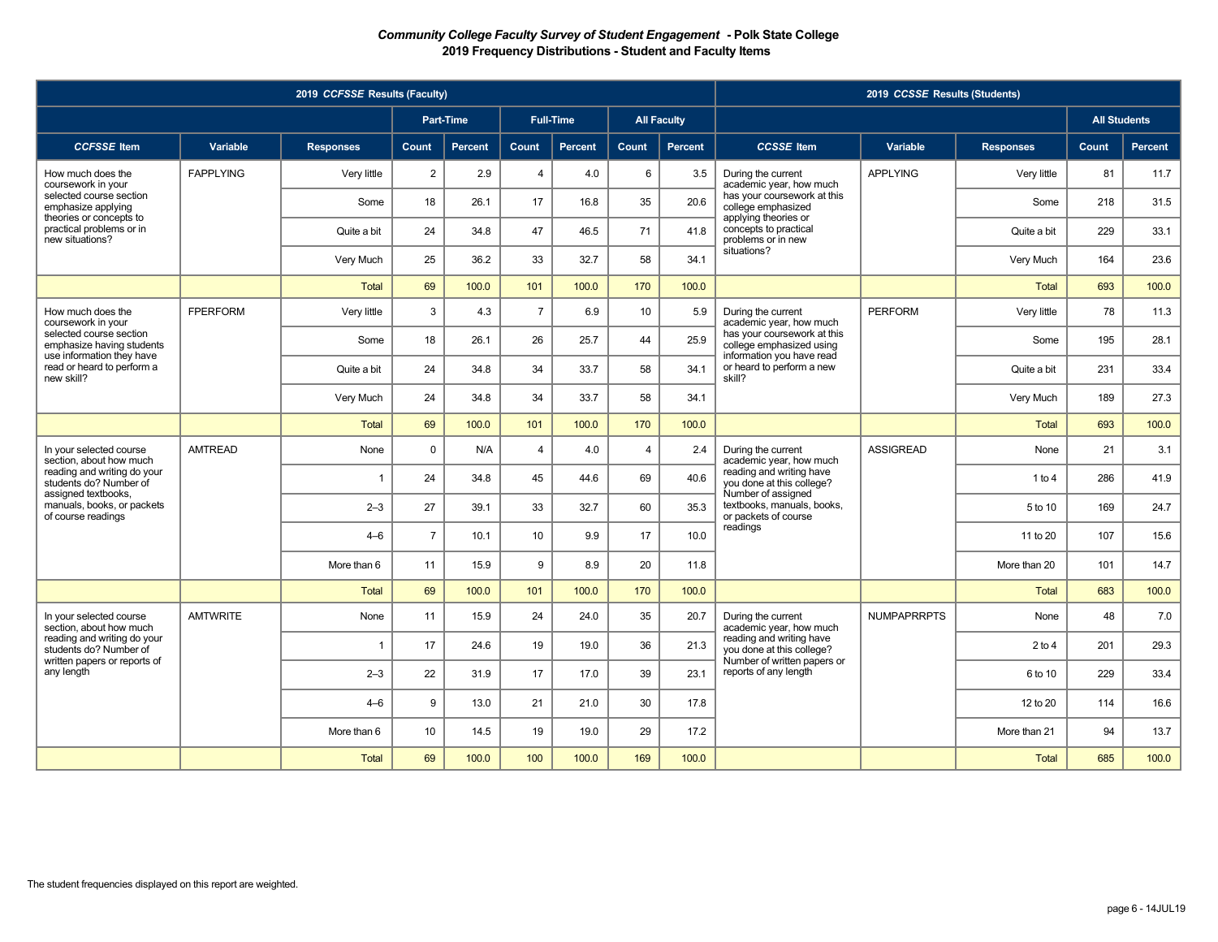|                                                                                   |                  | 2019 CCFSSE Results (Faculty) |                 |                |                |                  |                |                    |                                                                                      | 2019 CCSSE Results (Students) |                  |                     |         |
|-----------------------------------------------------------------------------------|------------------|-------------------------------|-----------------|----------------|----------------|------------------|----------------|--------------------|--------------------------------------------------------------------------------------|-------------------------------|------------------|---------------------|---------|
|                                                                                   |                  |                               |                 | Part-Time      |                | <b>Full-Time</b> |                | <b>All Faculty</b> |                                                                                      |                               |                  | <b>All Students</b> |         |
| <b>CCFSSE</b> Item                                                                | Variable         | <b>Responses</b>              | Count           | <b>Percent</b> | Count          | Percent          | Count          | <b>Percent</b>     | <b>CCSSE</b> Item                                                                    | Variable                      | <b>Responses</b> | Count               | Percent |
| How much does the<br>coursework in your                                           | <b>FAPPLYING</b> | Very little                   | $\overline{2}$  | 2.9            | $\overline{4}$ | 4.0              | 6              | 3.5                | During the current<br>academic year, how much                                        | <b>APPLYING</b>               | Very little      | 81                  | 11.7    |
| selected course section<br>emphasize applying<br>theories or concepts to          |                  | Some                          | 18              | 26.1           | 17             | 16.8             | 35             | 20.6               | has your coursework at this<br>college emphasized<br>applying theories or            |                               | Some             | 218                 | 31.5    |
| practical problems or in<br>new situations?                                       |                  | Quite a bit                   | 24              | 34.8           | 47             | 46.5             | 71             | 41.8               | concepts to practical<br>problems or in new                                          |                               | Quite a bit      | 229                 | 33.1    |
|                                                                                   |                  | Very Much                     | 25              | 36.2           | 33             | 32.7             | 58             | 34.1               | situations?                                                                          |                               | Very Much        | 164                 | 23.6    |
|                                                                                   |                  | <b>Total</b>                  | 69              | 100.0          | 101            | 100.0            | 170            | 100.0              |                                                                                      |                               | <b>Total</b>     | 693                 | 100.0   |
| How much does the<br>coursework in your                                           | <b>FPERFORM</b>  | Very little                   | 3               | 4.3            | $\overline{7}$ | 6.9              | 10             | 5.9                | During the current<br>academic year, how much                                        | <b>PERFORM</b>                | Very little      | 78                  | 11.3    |
| selected course section<br>emphasize having students<br>use information they have |                  | Some                          | 18              | 26.1           | 26             | 25.7             | 44             | 25.9               | has your coursework at this<br>college emphasized using<br>information you have read |                               | Some             | 195                 | 28.1    |
| read or heard to perform a<br>new skill?                                          |                  | Quite a bit                   | 24              | 34.8           | 34             | 33.7             | 58             | 34.1               | or heard to perform a new<br>skill?                                                  |                               | Quite a bit      | 231                 | 33.4    |
|                                                                                   |                  | Very Much                     | 24              | 34.8           | 34             | 33.7             | 58             | 34.1               |                                                                                      |                               | Very Much        | 189                 | 27.3    |
|                                                                                   |                  | <b>Total</b>                  | 69              | 100.0          | 101            | 100.0            | 170            | 100.0              |                                                                                      |                               | <b>Total</b>     | 693                 | 100.0   |
| In your selected course<br>section, about how much                                | <b>AMTREAD</b>   | None                          | $\Omega$        | N/A            | $\overline{4}$ | 4.0              | $\overline{4}$ | 2.4                | During the current<br>academic year, how much                                        | <b>ASSIGREAD</b>              | None             | 21                  | 3.1     |
| reading and writing do your<br>students do? Number of<br>assigned textbooks,      |                  | $\overline{1}$                | 24              | 34.8           | 45             | 44.6             | 69             | 40.6               | reading and writing have<br>you done at this college?<br>Number of assigned          |                               | 1 to 4           | 286                 | 41.9    |
| manuals, books, or packets<br>of course readings                                  |                  | $2 - 3$                       | 27              | 39.1           | 33             | 32.7             | 60             | 35.3               | textbooks, manuals, books,<br>or packets of course                                   |                               | 5 to 10          | 169                 | 24.7    |
|                                                                                   |                  | $4 - 6$                       | $\overline{7}$  | 10.1           | 10             | 9.9              | 17             | 10.0               | readings                                                                             |                               | 11 to 20         | 107                 | 15.6    |
|                                                                                   |                  | More than 6                   | 11              | 15.9           | 9              | 8.9              | 20             | 11.8               |                                                                                      |                               | More than 20     | 101                 | 14.7    |
|                                                                                   |                  | <b>Total</b>                  | 69              | 100.0          | 101            | 100.0            | 170            | 100.0              |                                                                                      |                               | <b>Total</b>     | 683                 | 100.0   |
| In your selected course<br>section, about how much                                | <b>AMTWRITE</b>  | None                          | 11              | 15.9           | 24             | 24.0             | 35             | 20.7               | During the current<br>academic year, how much                                        | <b>NUMPAPRRPTS</b>            | None             | 48                  | 7.0     |
| reading and writing do your<br>students do? Number of                             |                  | $\overline{1}$                | 17              | 24.6           | 19             | 19.0             | 36             | 21.3               | reading and writing have<br>you done at this college?                                |                               | $2$ to 4         | 201                 | 29.3    |
| written papers or reports of<br>any length                                        |                  | $2 - 3$                       | 22              | 31.9           | 17             | 17.0             | 39             | 23.1               | Number of written papers or<br>reports of any length                                 |                               | 6 to 10          | 229                 | 33.4    |
|                                                                                   |                  | $4 - 6$                       | 9               | 13.0           | 21             | 21.0             | 30             | 17.8               |                                                                                      |                               | 12 to 20         | 114                 | 16.6    |
|                                                                                   |                  | More than 6                   | 10 <sup>°</sup> | 14.5           | 19             | 19.0             | 29             | 17.2               |                                                                                      |                               | More than 21     | 94                  | 13.7    |
|                                                                                   |                  | <b>Total</b>                  | 69              | 100.0          | 100            | 100.0            | 169            | 100.0              |                                                                                      |                               | <b>Total</b>     | 685                 | 100.0   |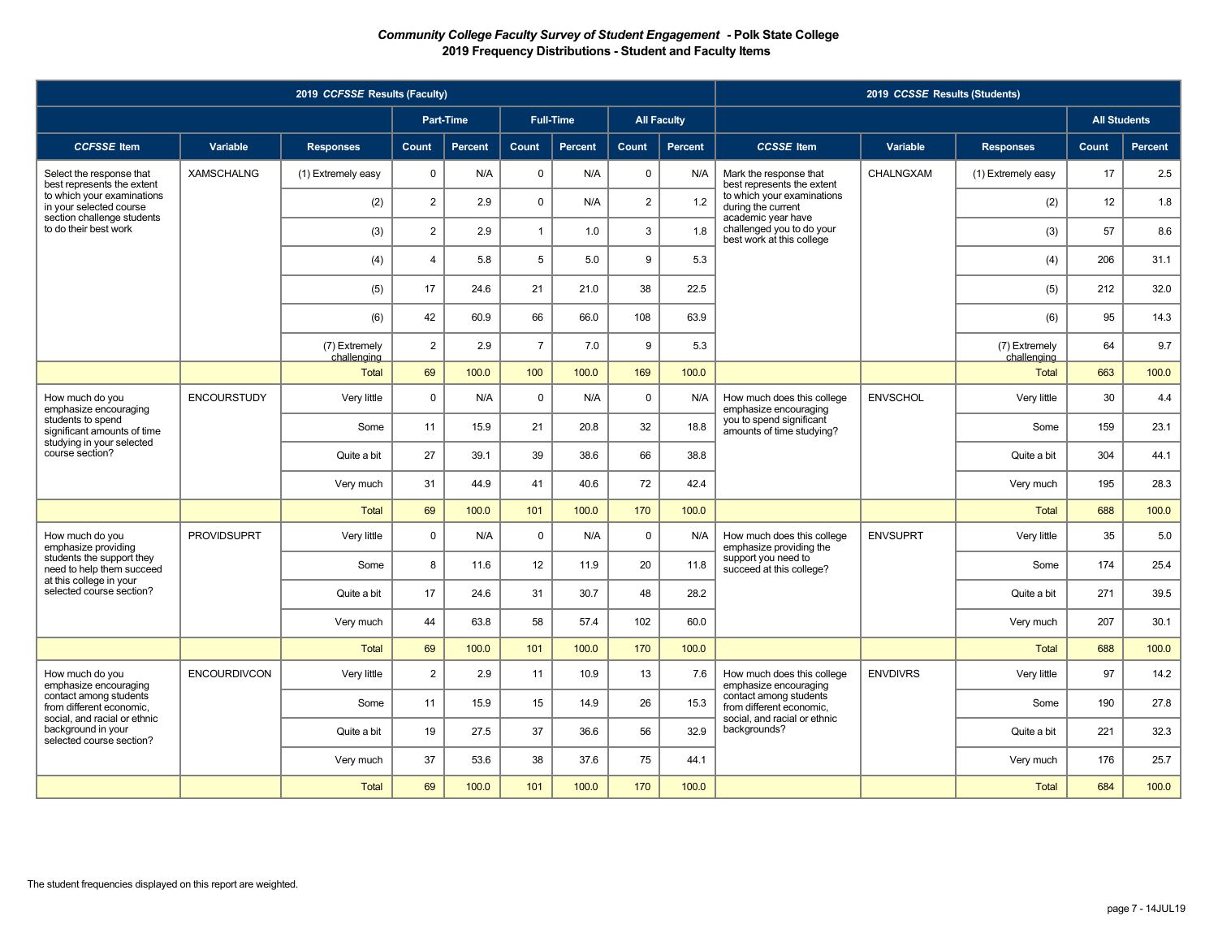|                                                                                    |                     | 2019 CCFSSE Results (Faculty) |                |                |                |                  |                |                    |                                                                                    | 2019 CCSSE Results (Students) |                              |                     |                |
|------------------------------------------------------------------------------------|---------------------|-------------------------------|----------------|----------------|----------------|------------------|----------------|--------------------|------------------------------------------------------------------------------------|-------------------------------|------------------------------|---------------------|----------------|
|                                                                                    |                     |                               |                | Part-Time      |                | <b>Full-Time</b> |                | <b>All Faculty</b> |                                                                                    |                               |                              | <b>All Students</b> |                |
| <b>CCFSSE</b> Item                                                                 | Variable            | <b>Responses</b>              | Count          | <b>Percent</b> | Count          | <b>Percent</b>   | <b>Count</b>   | Percent            | <b>CCSSE</b> Item                                                                  | Variable                      | <b>Responses</b>             | Count               | <b>Percent</b> |
| Select the response that<br>best represents the extent                             | <b>XAMSCHALNG</b>   | (1) Extremely easy            | $\mathbf 0$    | N/A            | $\mathsf 0$    | N/A              | $\mathbf 0$    | N/A                | Mark the response that<br>best represents the extent                               | CHALNGXAM                     | (1) Extremely easy           | 17                  | 2.5            |
| to which your examinations<br>in your selected course                              |                     | (2)                           | $\overline{2}$ | 2.9            | $\mathbf 0$    | N/A              | $\overline{2}$ | 1.2                | to which your examinations<br>during the current                                   |                               | (2)                          | 12                  | 1.8            |
| section challenge students<br>to do their best work                                |                     | (3)                           | $\overline{2}$ | 2.9            | $\mathbf{1}$   | 1.0              | $\mathbf{3}$   | 1.8                | academic year have<br>challenged you to do your<br>best work at this college       |                               | (3)                          | 57                  | 8.6            |
|                                                                                    |                     | (4)                           | $\overline{4}$ | 5.8            | 5              | 5.0              | 9              | 5.3                |                                                                                    |                               | (4)                          | 206                 | 31.1           |
|                                                                                    |                     | (5)                           | 17             | 24.6           | 21             | 21.0             | 38             | 22.5               |                                                                                    |                               | (5)                          | 212                 | 32.0           |
|                                                                                    |                     | (6)                           | 42             | 60.9           | 66             | 66.0             | 108            | 63.9               |                                                                                    |                               | (6)                          | 95                  | 14.3           |
|                                                                                    |                     | (7) Extremely<br>challenging  | $\overline{2}$ | 2.9            | $\overline{7}$ | 7.0              | 9              | 5.3                |                                                                                    |                               | (7) Extremely<br>challenging | 64                  | 9.7            |
|                                                                                    |                     | <b>Total</b>                  | 69             | 100.0          | 100            | 100.0            | 169            | 100.0              |                                                                                    |                               | Total                        | 663                 | 100.0          |
| How much do you<br>emphasize encouraging                                           | <b>ENCOURSTUDY</b>  | Very little                   | $\mathbf 0$    | N/A            | $\mathbf 0$    | N/A              | $\mathbf 0$    | N/A                | How much does this college<br>emphasize encouraging                                | <b>ENVSCHOL</b>               | Very little                  | 30                  | 4.4            |
| students to spend<br>significant amounts of time<br>studying in your selected      |                     | Some                          | 11             | 15.9           | 21             | 20.8             | 32             | 18.8               | you to spend significant<br>amounts of time studying?                              |                               | Some                         | 159                 | 23.1           |
| course section?                                                                    |                     | Quite a bit                   | 27             | 39.1           | 39             | 38.6             | 66             | 38.8               |                                                                                    |                               | Quite a bit                  | 304                 | 44.1           |
|                                                                                    |                     | Very much                     | 31             | 44.9           | 41             | 40.6             | 72             | 42.4               |                                                                                    |                               | Very much                    | 195                 | 28.3           |
|                                                                                    |                     | <b>Total</b>                  | 69             | 100.0          | 101            | 100.0            | 170            | 100.0              |                                                                                    |                               | <b>Total</b>                 | 688                 | 100.0          |
| How much do you<br>emphasize providing                                             | <b>PROVIDSUPRT</b>  | Very little                   | $\mathbf 0$    | N/A            | $\mathbf 0$    | N/A              | $\mathbf 0$    | N/A                | How much does this college<br>emphasize providing the                              | <b>ENVSUPRT</b>               | Very little                  | 35                  | 5.0            |
| students the support they<br>need to help them succeed<br>at this college in your  |                     | Some                          | 8              | 11.6           | 12             | 11.9             | 20             | 11.8               | support you need to<br>succeed at this college?                                    |                               | Some                         | 174                 | 25.4           |
| selected course section?                                                           |                     | Quite a bit                   | 17             | 24.6           | 31             | 30.7             | 48             | 28.2               |                                                                                    |                               | Quite a bit                  | 271                 | 39.5           |
|                                                                                    |                     | Very much                     | 44             | 63.8           | 58             | 57.4             | 102            | 60.0               |                                                                                    |                               | Very much                    | 207                 | 30.1           |
|                                                                                    |                     | <b>Total</b>                  | 69             | 100.0          | 101            | 100.0            | 170            | 100.0              |                                                                                    |                               | <b>Total</b>                 | 688                 | 100.0          |
| How much do you<br>emphasize encouraging                                           | <b>ENCOURDIVCON</b> | Very little                   | $\overline{2}$ | 2.9            | 11             | 10.9             | 13             | 7.6                | How much does this college<br>emphasize encouraging                                | <b>ENVDIVRS</b>               | Very little                  | 97                  | 14.2           |
| contact among students<br>from different economic.<br>social, and racial or ethnic |                     | Some                          | 11             | 15.9           | 15             | 14.9             | 26             | 15.3               | contact among students<br>from different economic.<br>social, and racial or ethnic |                               | Some                         | 190                 | 27.8           |
| background in your<br>selected course section?                                     |                     | Quite a bit                   | 19             | 27.5           | 37             | 36.6             | 56             | 32.9               | backgrounds?                                                                       |                               | Quite a bit                  | 221                 | 32.3           |
|                                                                                    |                     | Very much                     | 37             | 53.6           | 38             | 37.6             | 75             | 44.1               |                                                                                    |                               | Very much                    | 176                 | 25.7           |
|                                                                                    |                     | Total                         | 69             | 100.0          | 101            | 100.0            | 170            | 100.0              |                                                                                    |                               | Total                        | 684                 | 100.0          |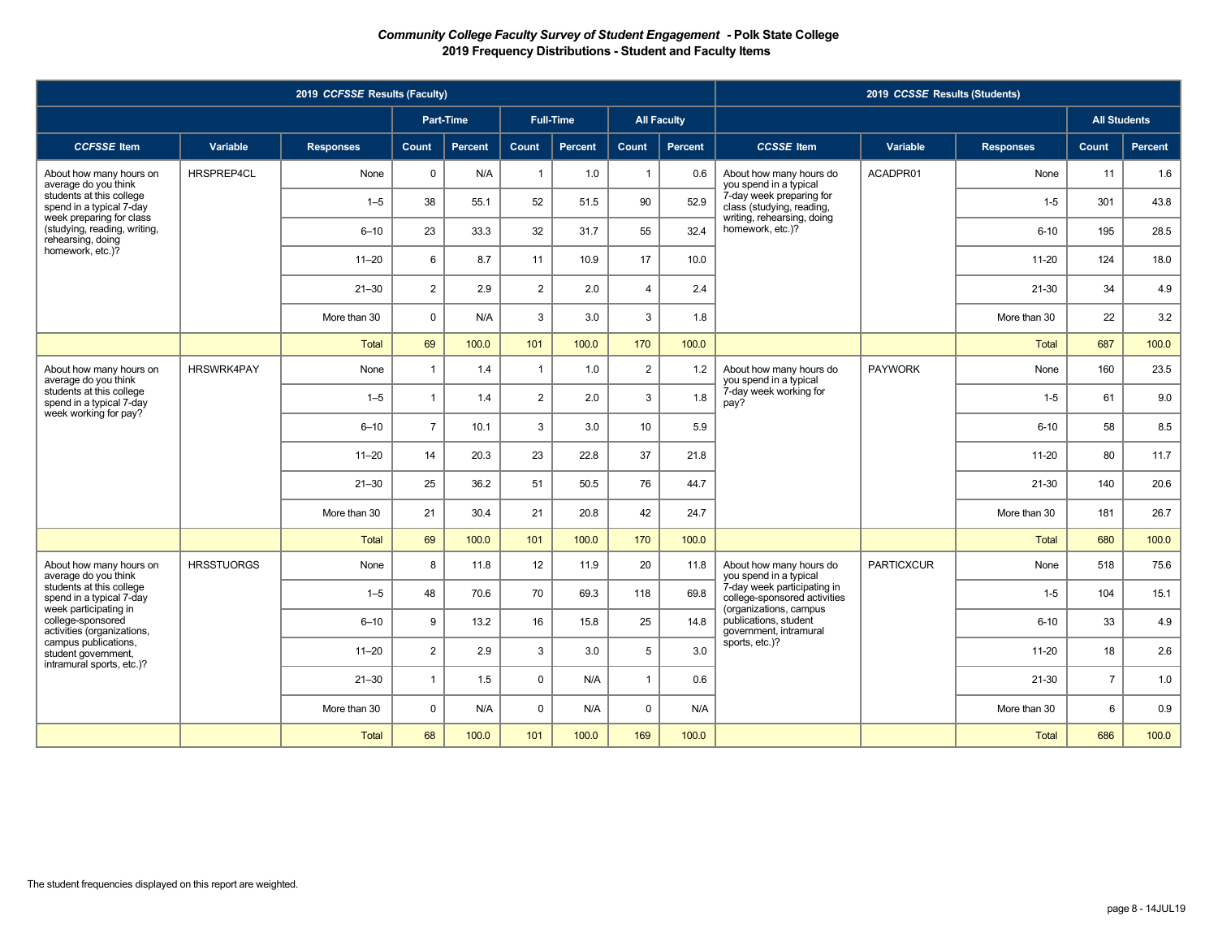|                                                                               |                   | 2019 CCFSSE Results (Faculty) |                |                  |                |                  |                |                    |                                                                                       | 2019 CCSSE Results (Students) |                  |                     |         |
|-------------------------------------------------------------------------------|-------------------|-------------------------------|----------------|------------------|----------------|------------------|----------------|--------------------|---------------------------------------------------------------------------------------|-------------------------------|------------------|---------------------|---------|
|                                                                               |                   |                               |                | <b>Part-Time</b> |                | <b>Full-Time</b> |                | <b>All Faculty</b> |                                                                                       |                               |                  | <b>All Students</b> |         |
| <b>CCFSSE</b> Item                                                            | Variable          | <b>Responses</b>              | Count          | <b>Percent</b>   | Count          | <b>Percent</b>   | Count          | <b>Percent</b>     | <b>CCSSE</b> Item                                                                     | Variable                      | <b>Responses</b> | Count               | Percent |
| About how many hours on<br>average do you think                               | HRSPREP4CL        | None                          | $\mathbf 0$    | N/A              | $\overline{1}$ | 1.0              | $\overline{1}$ | 0.6                | About how many hours do<br>you spend in a typical                                     | ACADPR01                      | None             | 11                  | 1.6     |
| students at this college<br>spend in a typical 7-day                          |                   | $1 - 5$                       | 38             | 55.1             | 52             | 51.5             | 90             | 52.9               | 7-day week preparing for<br>class (studying, reading,                                 |                               | $1-5$            | 301                 | 43.8    |
| week preparing for class<br>(studying, reading, writing,<br>rehearsing, doing |                   | $6 - 10$                      | 23             | 33.3             | 32             | 31.7             | 55             | 32.4               | writing, rehearsing, doing<br>homework, etc.)?                                        |                               | $6 - 10$         | 195                 | 28.5    |
| homework, etc.)?                                                              |                   | $11 - 20$                     | 6              | 8.7              | 11             | 10.9             | 17             | 10.0               |                                                                                       |                               | $11 - 20$        | 124                 | 18.0    |
|                                                                               |                   | $21 - 30$                     | $\overline{2}$ | 2.9              | $\overline{2}$ | 2.0              | $\overline{4}$ | 2.4                |                                                                                       |                               | 21-30            | 34                  | 4.9     |
|                                                                               |                   | More than 30                  | $\mathbf 0$    | N/A              | 3              | 3.0              | 3              | 1.8                |                                                                                       |                               | More than 30     | 22                  | 3.2     |
|                                                                               |                   | Total                         | 69             | 100.0            | 101            | 100.0            | 170            | 100.0              |                                                                                       |                               | <b>Total</b>     | 687                 | 100.0   |
| About how many hours on<br>average do you think                               | HRSWRK4PAY        | None                          | $\overline{1}$ | 1.4              | $\overline{1}$ | 1.0              | $\overline{2}$ | 1.2                | About how many hours do<br>you spend in a typical                                     | <b>PAYWORK</b>                | None             | 160                 | 23.5    |
| students at this college<br>spend in a typical 7-day<br>week working for pay? |                   | $1 - 5$                       | $\mathbf{1}$   | 1.4              | $\overline{2}$ | 2.0              | 3              | 1.8                | 7-day week working for<br>pay?                                                        |                               | $1-5$            | 61                  | 9.0     |
|                                                                               |                   | $6 - 10$                      | $\overline{7}$ | 10.1             | 3              | 3.0              | 10             | 5.9                |                                                                                       |                               | $6 - 10$         | 58                  | 8.5     |
|                                                                               |                   | $11 - 20$                     | 14             | 20.3             | 23             | 22.8             | 37             | 21.8               |                                                                                       |                               | $11 - 20$        | 80                  | 11.7    |
|                                                                               |                   | $21 - 30$                     | 25             | 36.2             | 51             | 50.5             | 76             | 44.7               |                                                                                       |                               | 21-30            | 140                 | 20.6    |
|                                                                               |                   | More than 30                  | 21             | 30.4             | 21             | 20.8             | 42             | 24.7               |                                                                                       |                               | More than 30     | 181                 | 26.7    |
|                                                                               |                   | Total                         | 69             | 100.0            | 101            | 100.0            | 170            | 100.0              |                                                                                       |                               | Total            | 680                 | 100.0   |
| About how many hours on<br>average do you think                               | <b>HRSSTUORGS</b> | None                          | 8              | 11.8             | 12             | 11.9             | 20             | 11.8               | About how many hours do<br>you spend in a typical                                     | <b>PARTICXCUR</b>             | None             | 518                 | 75.6    |
| students at this college<br>spend in a typical 7-day                          |                   | $1 - 5$                       | 48             | 70.6             | 70             | 69.3             | 118            | 69.8               | 7-day week participating in<br>college-sponsored activities<br>(organizations, campus |                               | $1 - 5$          | 104                 | 15.1    |
| week participating in<br>college-sponsored<br>activities (organizations,      |                   | $6 - 10$                      | 9              | 13.2             | 16             | 15.8             | 25             | 14.8               | publications, student<br>government, intramural                                       |                               | $6 - 10$         | 33                  | 4.9     |
| campus publications.<br>student government,<br>intramural sports, etc.)?      |                   | $11 - 20$                     | $\overline{2}$ | 2.9              | 3              | 3.0              | 5              | 3.0                | sports, etc.)?                                                                        |                               | $11 - 20$        | 18                  | 2.6     |
|                                                                               |                   | $21 - 30$                     | $\overline{1}$ | 1.5              | $\mathbf 0$    | N/A              | $\overline{1}$ | 0.6                |                                                                                       |                               | 21-30            | $\overline{7}$      | 1.0     |
|                                                                               |                   | More than 30                  | $\mathbf{0}$   | N/A              | $\Omega$       | N/A              | $\mathbf 0$    | N/A                |                                                                                       |                               | More than 30     | 6                   | 0.9     |
|                                                                               |                   | <b>Total</b>                  | 68             | 100.0            | 101            | 100.0            | 169            | 100.0              |                                                                                       |                               | <b>Total</b>     | 686                 | 100.0   |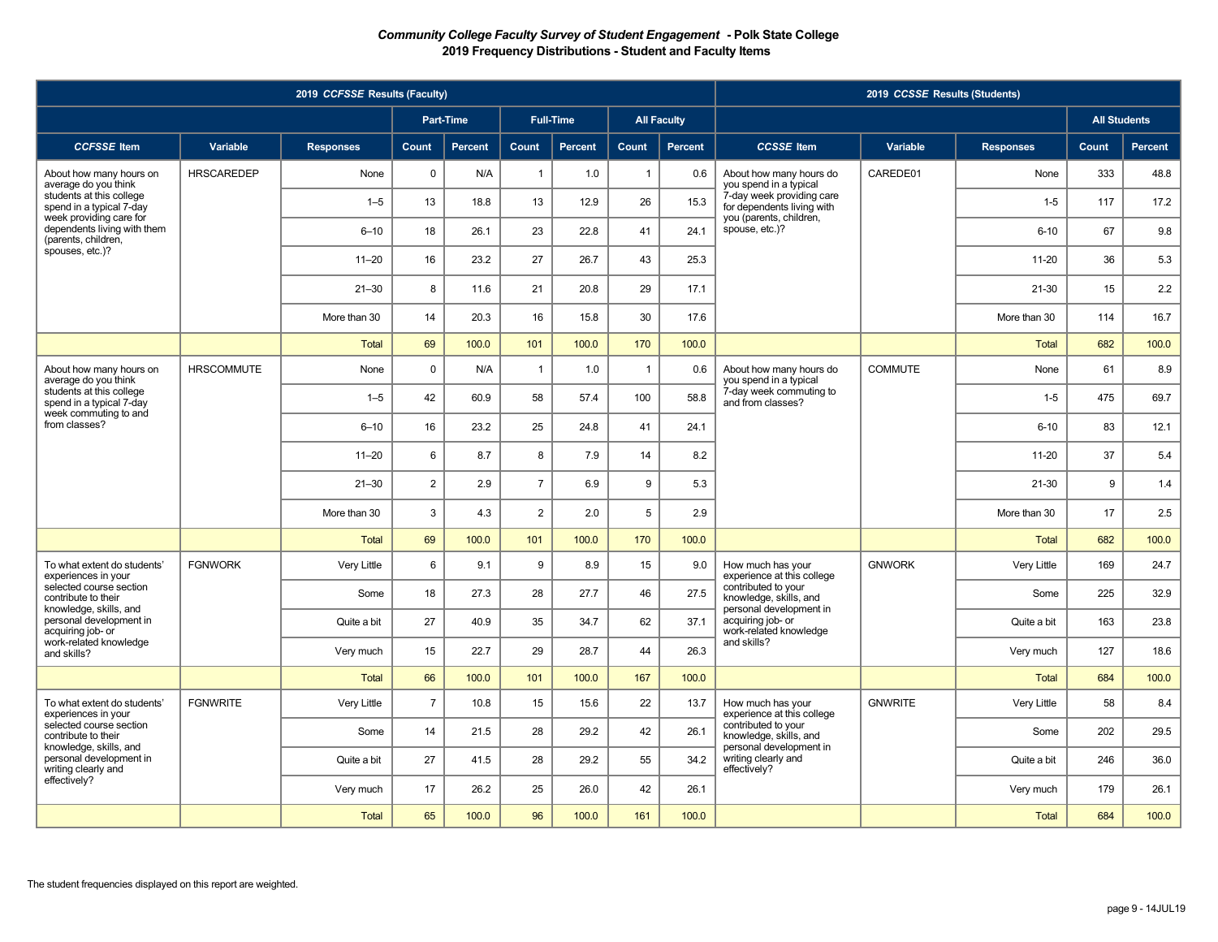|                                                                               |                   | 2019 CCFSSE Results (Faculty) |                |                  |                |                  |                |                    |                                                                          | 2019 CCSSE Results (Students) |                  |                     |         |
|-------------------------------------------------------------------------------|-------------------|-------------------------------|----------------|------------------|----------------|------------------|----------------|--------------------|--------------------------------------------------------------------------|-------------------------------|------------------|---------------------|---------|
|                                                                               |                   |                               |                | <b>Part-Time</b> |                | <b>Full-Time</b> |                | <b>All Faculty</b> |                                                                          |                               |                  | <b>All Students</b> |         |
| <b>CCFSSE</b> Item                                                            | Variable          | <b>Responses</b>              | Count          | <b>Percent</b>   | Count          | <b>Percent</b>   | Count          | Percent            | <b>CCSSE</b> Item                                                        | Variable                      | <b>Responses</b> | Count               | Percent |
| About how many hours on<br>average do you think                               | <b>HRSCAREDEP</b> | None                          | $\mathbf 0$    | N/A              | $\overline{1}$ | 1.0              | $\overline{1}$ | 0.6                | About how many hours do<br>you spend in a typical                        | CAREDE01                      | None             | 333                 | 48.8    |
| students at this college<br>spend in a typical 7-day                          |                   | $1 - 5$                       | 13             | 18.8             | 13             | 12.9             | 26             | 15.3               | 7-day week providing care<br>for dependents living with                  |                               | $1 - 5$          | 117                 | 17.2    |
| week providing care for<br>dependents living with them<br>(parents, children, |                   | $6 - 10$                      | 18             | 26.1             | 23             | 22.8             | 41             | 24.1               | you (parents, children,<br>spouse, etc.)?                                |                               | $6 - 10$         | 67                  | 9.8     |
| spouses, etc.)?                                                               |                   | $11 - 20$                     | 16             | 23.2             | 27             | 26.7             | 43             | 25.3               |                                                                          |                               | $11 - 20$        | 36                  | 5.3     |
|                                                                               |                   | $21 - 30$                     | 8              | 11.6             | 21             | 20.8             | 29             | 17.1               |                                                                          |                               | $21 - 30$        | 15                  | 2.2     |
|                                                                               |                   | More than 30                  | 14             | 20.3             | 16             | 15.8             | 30             | 17.6               |                                                                          |                               | More than 30     | 114                 | 16.7    |
|                                                                               |                   | <b>Total</b>                  | 69             | 100.0            | 101            | 100.0            | 170            | 100.0              |                                                                          |                               | <b>Total</b>     | 682                 | 100.0   |
| About how many hours on<br>average do you think                               | <b>HRSCOMMUTE</b> | None                          | $\mathsf 0$    | N/A              | $\overline{1}$ | 1.0              | $\overline{1}$ | 0.6                | About how many hours do<br>you spend in a typical                        | <b>COMMUTE</b>                | None             | 61                  | 8.9     |
| students at this college<br>spend in a typical 7-day<br>week commuting to and |                   | $1 - 5$                       | 42             | 60.9             | 58             | 57.4             | 100            | 58.8               | 7-day week commuting to<br>and from classes?                             |                               | $1 - 5$          | 475                 | 69.7    |
| from classes?                                                                 |                   | $6 - 10$                      | 16             | 23.2             | 25             | 24.8             | 41             | 24.1               |                                                                          |                               | $6 - 10$         | 83                  | 12.1    |
|                                                                               |                   | $11 - 20$                     | 6              | 8.7              | 8              | 7.9              | 14             | 8.2                |                                                                          |                               | $11 - 20$        | 37                  | 5.4     |
|                                                                               |                   | $21 - 30$                     | $\overline{2}$ | 2.9              | $\overline{7}$ | 6.9              | 9              | 5.3                |                                                                          |                               | $21 - 30$        | 9                   | 1.4     |
|                                                                               |                   | More than 30                  | 3              | 4.3              | $\overline{2}$ | 2.0              | 5              | 2.9                |                                                                          |                               | More than 30     | 17                  | 2.5     |
|                                                                               |                   | <b>Total</b>                  | 69             | 100.0            | 101            | 100.0            | 170            | 100.0              |                                                                          |                               | Total            | 682                 | 100.0   |
| To what extent do students'<br>experiences in your                            | <b>FGNWORK</b>    | Very Little                   | 6              | 9.1              | 9              | 8.9              | 15             | 9.0                | How much has your<br>experience at this college                          | <b>GNWORK</b>                 | Very Little      | 169                 | 24.7    |
| selected course section<br>contribute to their<br>knowledge, skills, and      |                   | Some                          | 18             | 27.3             | 28             | 27.7             | 46             | 27.5               | contributed to your<br>knowledge, skills, and<br>personal development in |                               | Some             | 225                 | 32.9    |
| personal development in<br>acquiring job- or                                  |                   | Quite a bit                   | 27             | 40.9             | 35             | 34.7             | 62             | 37.1               | acquiring job- or<br>work-related knowledge                              |                               | Quite a bit      | 163                 | 23.8    |
| work-related knowledge<br>and skills?                                         |                   | Very much                     | 15             | 22.7             | 29             | 28.7             | 44             | 26.3               | and skills?                                                              |                               | Very much        | 127                 | 18.6    |
|                                                                               |                   | <b>Total</b>                  | 66             | 100.0            | 101            | 100.0            | 167            | 100.0              |                                                                          |                               | <b>Total</b>     | 684                 | 100.0   |
| To what extent do students'<br>experiences in your                            | <b>FGNWRITE</b>   | Very Little                   | $\overline{7}$ | 10.8             | 15             | 15.6             | 22             | 13.7               | How much has your<br>experience at this college                          | <b>GNWRITE</b>                | Very Little      | 58                  | 8.4     |
| selected course section<br>contribute to their                                |                   | Some                          | 14             | 21.5             | 28             | 29.2             | 42             | 26.1               | contributed to your<br>knowledge, skills, and<br>personal development in |                               | Some             | 202                 | 29.5    |
| knowledge, skills, and<br>personal development in<br>writing clearly and      |                   | Quite a bit                   | 27             | 41.5             | 28             | 29.2             | 55             | 34.2               | writing clearly and<br>effectively?                                      |                               | Quite a bit      | 246                 | 36.0    |
| effectively?                                                                  |                   | Very much                     | 17             | 26.2             | 25             | 26.0             | 42             | 26.1               |                                                                          |                               | Very much        | 179                 | 26.1    |
|                                                                               |                   | Total                         | 65             | 100.0            | 96             | 100.0            | 161            | 100.0              |                                                                          |                               | Total            | 684                 | 100.0   |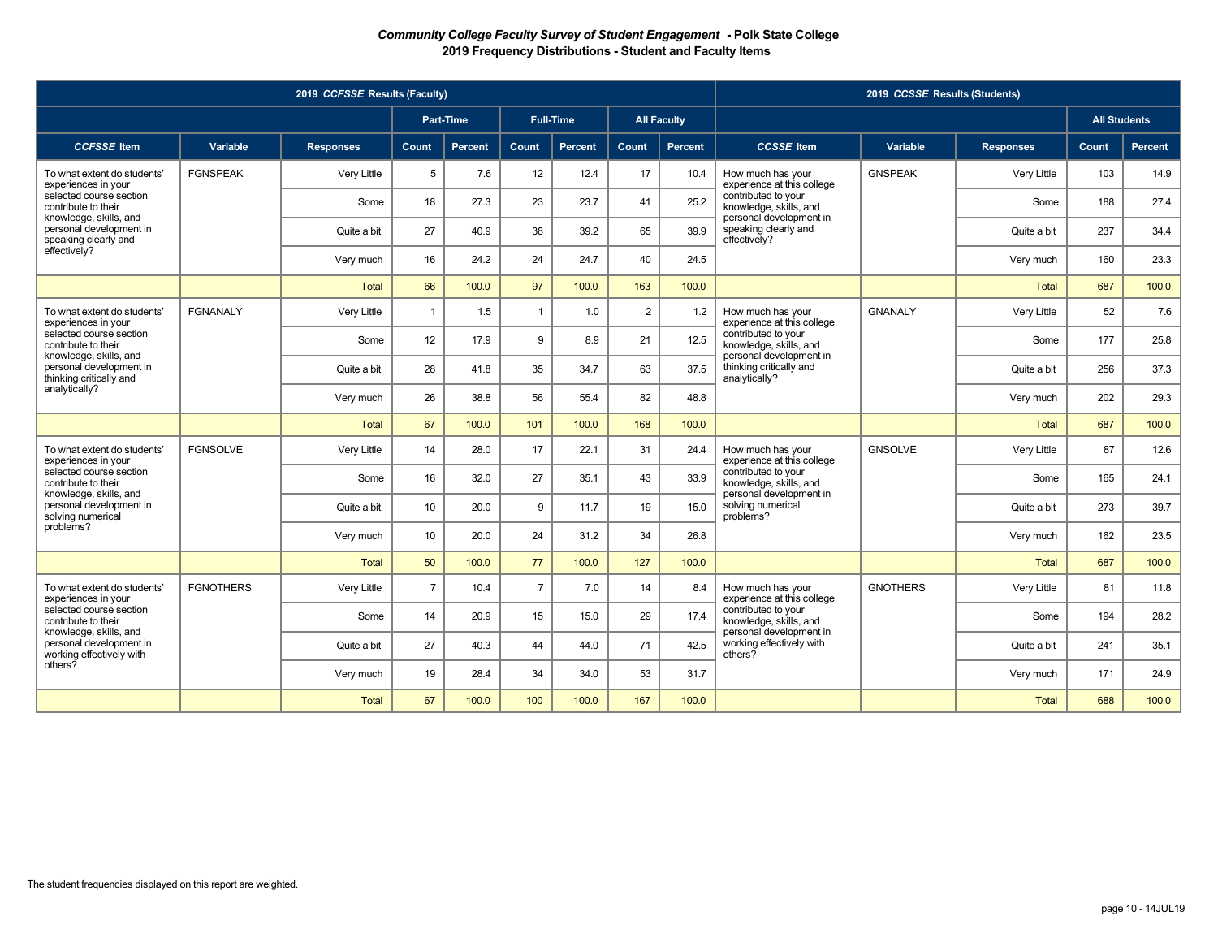|                                                                               |                  | 2019 CCFSSE Results (Faculty) |                |                  |                |                  |                |                    |                                                                     | 2019 CCSSE Results (Students) |                  |                     |         |
|-------------------------------------------------------------------------------|------------------|-------------------------------|----------------|------------------|----------------|------------------|----------------|--------------------|---------------------------------------------------------------------|-------------------------------|------------------|---------------------|---------|
|                                                                               |                  |                               |                | <b>Part-Time</b> |                | <b>Full-Time</b> |                | <b>All Faculty</b> |                                                                     |                               |                  | <b>All Students</b> |         |
| <b>CCFSSE</b> Item                                                            | Variable         | <b>Responses</b>              | Count          | <b>Percent</b>   | <b>Count</b>   | Percent          | <b>Count</b>   | <b>Percent</b>     | <b>CCSSE</b> Item                                                   | Variable                      | <b>Responses</b> | Count,              | Percent |
| To what extent do students'<br>experiences in your                            | <b>FGNSPEAK</b>  | Very Little                   | 5              | 7.6              | 12             | 12.4             | 17             | 10.4               | How much has your<br>experience at this college                     | <b>GNSPEAK</b>                | Very Little      | 103                 | 14.9    |
| selected course section<br>contribute to their                                |                  | Some                          | 18             | 27.3             | 23             | 23.7             | 41             | 25.2               | contributed to your<br>knowledge, skills, and                       |                               | Some             | 188                 | 27.4    |
| knowledge, skills, and<br>personal development in<br>speaking clearly and     |                  | Quite a bit                   | 27             | 40.9             | 38             | 39.2             | 65             | 39.9               | personal development in<br>speaking clearly and<br>effectively?     |                               | Quite a bit      | 237                 | 34.4    |
| effectively?                                                                  |                  | Very much                     | 16             | 24.2             | 24             | 24.7             | 40             | 24.5               |                                                                     |                               | Very much        | 160                 | 23.3    |
|                                                                               |                  | <b>Total</b>                  | 66             | 100.0            | 97             | 100.0            | 163            | 100.0              |                                                                     |                               | <b>Total</b>     | 687                 | 100.0   |
| To what extent do students'<br>experiences in your                            | <b>FGNANALY</b>  | Very Little                   | $\mathbf{1}$   | 1.5              | $\mathbf{1}$   | 1.0              | $\overline{2}$ | 1.2                | How much has your<br>experience at this college                     | <b>GNANALY</b>                | Very Little      | 52                  | 7.6     |
| selected course section<br>contribute to their                                |                  | Some                          | 12             | 17.9             | 9              | 8.9              | 21             | 12.5               | contributed to your<br>knowledge, skills, and                       |                               | Some             | 177                 | 25.8    |
| knowledge, skills, and<br>personal development in<br>thinking critically and  |                  | Quite a bit                   | 28             | 41.8             | 35             | 34.7             | 63             | 37.5               | personal development in<br>thinking critically and<br>analytically? |                               | Quite a bit      | 256                 | 37.3    |
| analytically?                                                                 |                  | Very much                     | 26             | 38.8             | 56             | 55.4             | 82             | 48.8               |                                                                     |                               | Very much        | 202                 | 29.3    |
|                                                                               |                  | <b>Total</b>                  | 67             | 100.0            | 101            | 100.0            | 168            | 100.0              |                                                                     |                               | <b>Total</b>     | 687                 | 100.0   |
| To what extent do students'<br>experiences in your                            | <b>FGNSOLVE</b>  | Very Little                   | 14             | 28.0             | 17             | 22.1             | 31             | 24.4               | How much has your<br>experience at this college                     | <b>GNSOLVE</b>                | Very Little      | 87                  | 12.6    |
| selected course section<br>contribute to their                                |                  | Some                          | 16             | 32.0             | 27             | 35.1             | 43             | 33.9               | contributed to your<br>knowledge, skills, and                       |                               | Some             | 165                 | 24.1    |
| knowledge, skills, and<br>personal development in<br>solving numerical        |                  | Quite a bit                   | 10             | 20.0             | 9              | 11.7             | 19             | 15.0               | personal development in<br>solving numerical<br>problems?           |                               | Quite a bit      | 273                 | 39.7    |
| problems?                                                                     |                  | Very much                     | 10             | 20.0             | 24             | 31.2             | 34             | 26.8               |                                                                     |                               | Very much        | 162                 | 23.5    |
|                                                                               |                  | <b>Total</b>                  | 50             | 100.0            | 77             | 100.0            | 127            | 100.0              |                                                                     |                               | <b>Total</b>     | 687                 | 100.0   |
| To what extent do students'<br>experiences in your                            | <b>FGNOTHERS</b> | Very Little                   | $\overline{7}$ | 10.4             | $\overline{7}$ | 7.0              | 14             | 8.4                | How much has your<br>experience at this college                     | <b>GNOTHERS</b>               | Very Little      | 81                  | 11.8    |
| selected course section<br>contribute to their                                |                  | Some                          | 14             | 20.9             | 15             | 15.0             | 29             | 17.4               | contributed to your<br>knowledge, skills, and                       |                               | Some             | 194                 | 28.2    |
| knowledge, skills, and<br>personal development in<br>working effectively with |                  | Quite a bit                   | 27             | 40.3             | 44             | 44.0             | 71             | 42.5               | personal development in<br>working effectively with<br>others?      |                               | Quite a bit      | 241                 | 35.1    |
| others?                                                                       |                  | Very much                     | 19             | 28.4             | 34             | 34.0             | 53             | 31.7               |                                                                     |                               | Very much        | 171                 | 24.9    |
|                                                                               |                  | <b>Total</b>                  | 67             | 100.0            | 100            | 100.0            | 167            | 100.0              |                                                                     |                               | Total            | 688                 | 100.0   |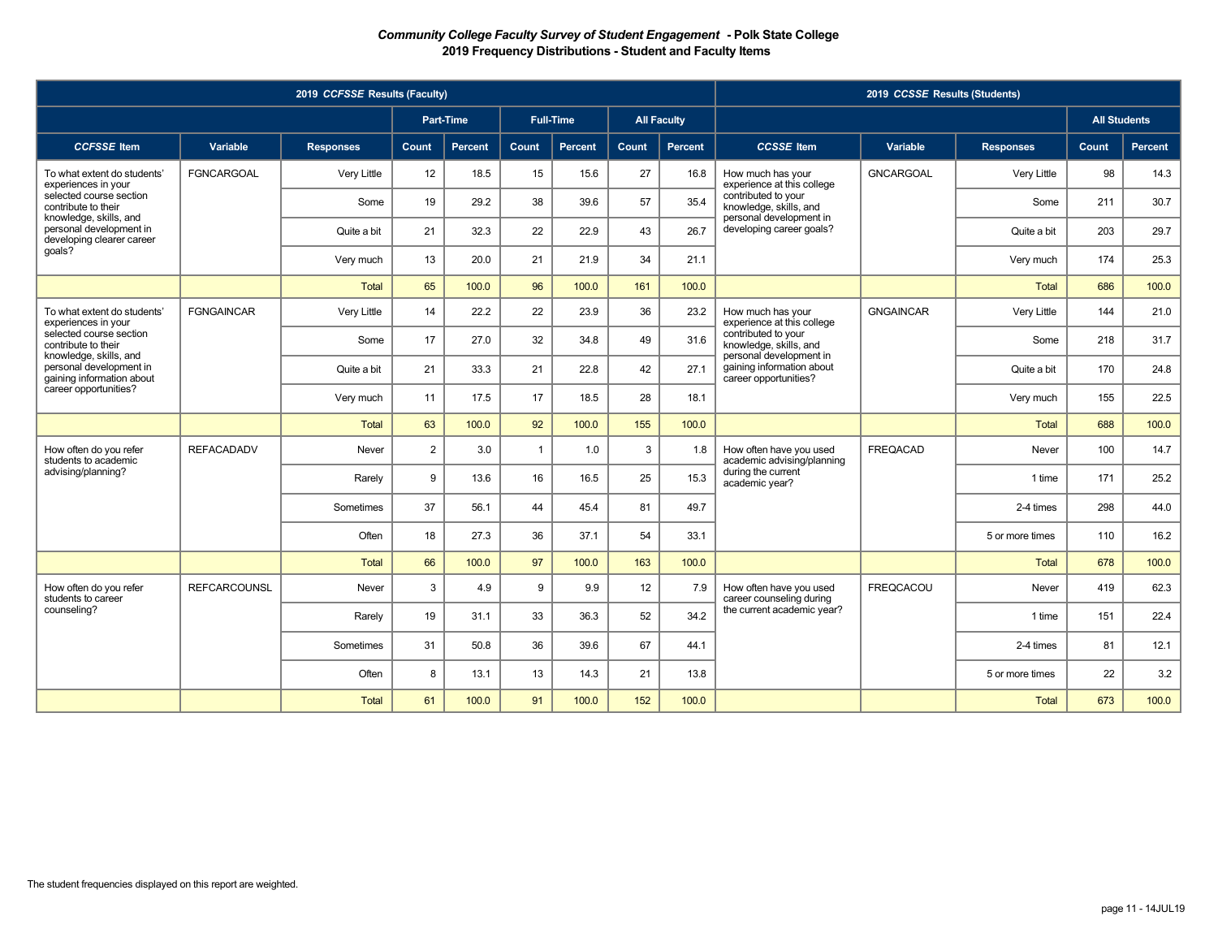|                                                                                |                     | 2019 CCFSSE Results (Faculty) |                |                  |                |                  |       |                    |                                                                               | 2019 CCSSE Results (Students) |                  |                     |         |
|--------------------------------------------------------------------------------|---------------------|-------------------------------|----------------|------------------|----------------|------------------|-------|--------------------|-------------------------------------------------------------------------------|-------------------------------|------------------|---------------------|---------|
|                                                                                |                     |                               |                | <b>Part-Time</b> |                | <b>Full-Time</b> |       | <b>All Faculty</b> |                                                                               |                               |                  | <b>All Students</b> |         |
| <b>CCFSSE</b> Item                                                             | Variable            | <b>Responses</b>              | Count          | <b>Percent</b>   | <b>Count</b>   | <b>Percent</b>   | Count | <b>Percent</b>     | <b>CCSSE</b> Item                                                             | Variable                      | <b>Responses</b> | Count,              | Percent |
| To what extent do students'<br>experiences in your                             | <b>FGNCARGOAL</b>   | Very Little                   | 12             | 18.5             | 15             | 15.6             | 27    | 16.8               | How much has your<br>experience at this college                               | <b>GNCARGOAL</b>              | Very Little      | 98                  | 14.3    |
| selected course section<br>contribute to their                                 |                     | Some                          | 19             | 29.2             | 38             | 39.6             | 57    | 35.4               | contributed to your<br>knowledge, skills, and                                 |                               | Some             | 211                 | 30.7    |
| knowledge, skills, and<br>personal development in<br>developing clearer career |                     | Quite a bit                   | 21             | 32.3             | 22             | 22.9             | 43    | 26.7               | personal development in<br>developing career goals?                           |                               | Quite a bit      | 203                 | 29.7    |
| qoals?                                                                         |                     | Very much                     | 13             | 20.0             | 21             | 21.9             | 34    | 21.1               |                                                                               |                               | Very much        | 174                 | 25.3    |
|                                                                                |                     | <b>Total</b>                  | 65             | 100.0            | 96             | 100.0            | 161   | 100.0              |                                                                               |                               | <b>Total</b>     | 686                 | 100.0   |
| To what extent do students'<br>experiences in your                             | <b>FGNGAINCAR</b>   | Very Little                   | 14             | 22.2             | 22             | 23.9             | 36    | 23.2               | How much has your<br>experience at this college                               | <b>GNGAINCAR</b>              | Very Little      | 144                 | 21.0    |
| selected course section<br>contribute to their                                 |                     | Some                          | 17             | 27.0             | 32             | 34.8             | 49    | 31.6               | contributed to your<br>knowledge, skills, and                                 |                               | Some             | 218                 | 31.7    |
| knowledge, skills, and<br>personal development in<br>gaining information about |                     | Quite a bit                   | 21             | 33.3             | 21             | 22.8             | 42    | 27.1               | personal development in<br>gaining information about<br>career opportunities? |                               | Quite a bit      | 170                 | 24.8    |
| career opportunities?                                                          |                     | Very much                     | 11             | 17.5             | 17             | 18.5             | 28    | 18.1               |                                                                               |                               | Very much        | 155                 | 22.5    |
|                                                                                |                     | <b>Total</b>                  | 63             | 100.0            | 92             | 100.0            | 155   | 100.0              |                                                                               |                               | <b>Total</b>     | 688                 | 100.0   |
| How often do you refer<br>students to academic                                 | <b>REFACADADV</b>   | Never                         | $\overline{2}$ | 3.0              | $\overline{1}$ | 1.0              | 3     | 1.8                | How often have you used<br>academic advising/planning                         | <b>FREQACAD</b>               | Never            | 100                 | 14.7    |
| advising/planning?                                                             |                     | Rarely                        | 9              | 13.6             | 16             | 16.5             | 25    | 15.3               | during the current<br>academic year?                                          |                               | 1 time           | 171                 | 25.2    |
|                                                                                |                     | Sometimes                     | 37             | 56.1             | 44             | 45.4             | 81    | 49.7               |                                                                               |                               | 2-4 times        | 298                 | 44.0    |
|                                                                                |                     | Often                         | 18             | 27.3             | 36             | 37.1             | 54    | 33.1               |                                                                               |                               | 5 or more times  | 110                 | 16.2    |
|                                                                                |                     | Total                         | 66             | 100.0            | 97             | 100.0            | 163   | 100.0              |                                                                               |                               | <b>Total</b>     | 678                 | 100.0   |
| How often do you refer<br>students to career                                   | <b>REFCARCOUNSL</b> | Never                         | 3              | 4.9              | 9              | 9.9              | 12    | 7.9                | How often have you used<br>career counseling during                           | <b>FREQCACOU</b>              | Never            | 419                 | 62.3    |
| counseling?                                                                    |                     | Rarely                        | 19             | 31.1             | 33             | 36.3             | 52    | 34.2               | the current academic year?                                                    |                               | 1 time           | 151                 | 22.4    |
|                                                                                |                     | Sometimes                     | 31             | 50.8             | 36             | 39.6             | 67    | 44.1               |                                                                               |                               | 2-4 times        | 81                  | 12.1    |
|                                                                                |                     | Often                         | 8              | 13.1             | 13             | 14.3             | 21    | 13.8               |                                                                               |                               | 5 or more times  | 22                  | 3.2     |
|                                                                                |                     | Total                         | 61             | 100.0            | 91             | 100.0            | 152   | 100.0              |                                                                               |                               | <b>Total</b>     | 673                 | 100.0   |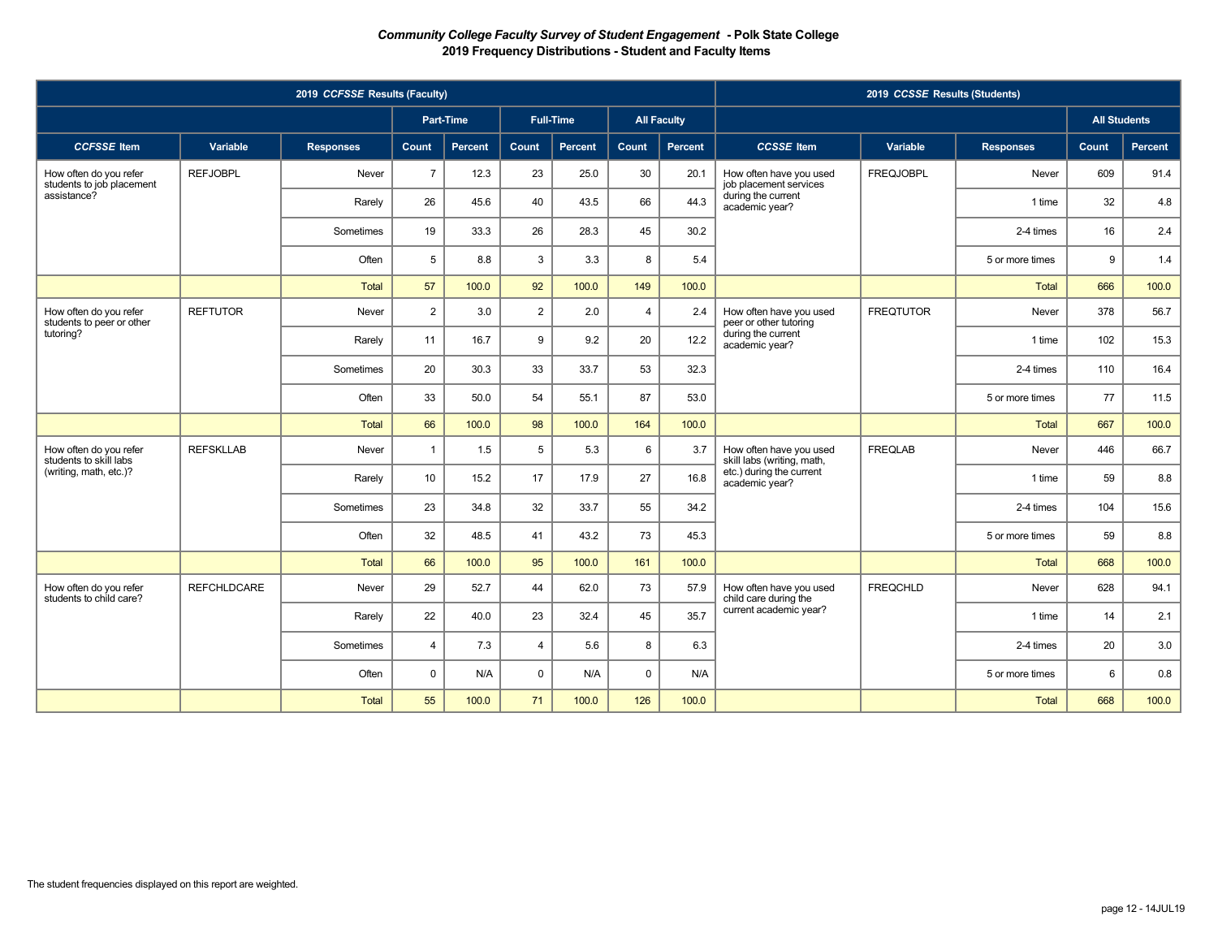|                                                     |                    | 2019 CCFSSE Results (Faculty) |                |                  |                |                  |                |                    |                                                       | 2019 CCSSE Results (Students) |                  |                     |         |
|-----------------------------------------------------|--------------------|-------------------------------|----------------|------------------|----------------|------------------|----------------|--------------------|-------------------------------------------------------|-------------------------------|------------------|---------------------|---------|
|                                                     |                    |                               |                | <b>Part-Time</b> |                | <b>Full-Time</b> |                | <b>All Faculty</b> |                                                       |                               |                  | <b>All Students</b> |         |
| <b>CCFSSE</b> Item                                  | Variable           | <b>Responses</b>              | <b>Count</b>   | Percent          | Count          | Percent          | Count          | Percent            | <b>CCSSE</b> Item                                     | Variable                      | <b>Responses</b> | Count               | Percent |
| How often do you refer<br>students to job placement | <b>REFJOBPL</b>    | Never                         | $\overline{7}$ | 12.3             | 23             | 25.0             | 30             | 20.1               | How often have you used<br>job placement services     | <b>FREQJOBPL</b>              | Never            | 609                 | 91.4    |
| assistance?                                         |                    | Rarely                        | 26             | 45.6             | 40             | 43.5             | 66             | 44.3               | during the current<br>academic year?                  |                               | 1 time           | 32                  | 4.8     |
|                                                     |                    | Sometimes                     | 19             | 33.3             | 26             | 28.3             | 45             | 30.2               |                                                       |                               | 2-4 times        | 16                  | 2.4     |
|                                                     |                    | Often                         | 5              | 8.8              | 3              | 3.3              | 8              | 5.4                |                                                       |                               | 5 or more times  | 9                   | 1.4     |
|                                                     |                    | <b>Total</b>                  | 57             | 100.0            | 92             | 100.0            | 149            | 100.0              |                                                       |                               | Total            | 666                 | 100.0   |
| How often do you refer<br>students to peer or other | <b>REFTUTOR</b>    | Never                         | $\overline{2}$ | 3.0              | $\overline{2}$ | 2.0              | $\overline{4}$ | 2.4                | How often have you used<br>peer or other tutoring     | <b>FREQTUTOR</b>              | Never            | 378                 | 56.7    |
| tutoring?                                           |                    | Rarely                        | 11             | 16.7             | 9              | 9.2              | 20             | 12.2               | during the current<br>academic year?                  |                               | 1 time           | 102                 | 15.3    |
|                                                     |                    | Sometimes                     | 20             | 30.3             | 33             | 33.7             | 53             | 32.3               |                                                       |                               | 2-4 times        | 110                 | 16.4    |
|                                                     |                    | Often                         | 33             | 50.0             | 54             | 55.1             | 87             | 53.0               |                                                       |                               | 5 or more times  | 77                  | $11.5$  |
|                                                     |                    | <b>Total</b>                  | 66             | 100.0            | 98             | 100.0            | 164            | 100.0              |                                                       |                               | Total            | 667                 | 100.0   |
| How often do you refer<br>students to skill labs    | <b>REFSKLLAB</b>   | Never                         | $\overline{1}$ | 1.5              | 5              | 5.3              | 6              | 3.7                | How often have you used<br>skill labs (writing, math, | <b>FREQLAB</b>                | Never            | 446                 | 66.7    |
| (writing, math, etc.)?                              |                    | Rarely                        | 10             | 15.2             | 17             | 17.9             | 27             | 16.8               | etc.) during the current<br>academic year?            |                               | 1 time           | 59                  | 8.8     |
|                                                     |                    | Sometimes                     | 23             | 34.8             | 32             | 33.7             | 55             | 34.2               |                                                       |                               | 2-4 times        | 104                 | 15.6    |
|                                                     |                    | Often                         | 32             | 48.5             | 41             | 43.2             | 73             | 45.3               |                                                       |                               | 5 or more times  | 59                  | 8.8     |
|                                                     |                    | <b>Total</b>                  | 66             | 100.0            | 95             | 100.0            | 161            | 100.0              |                                                       |                               | Total            | 668                 | 100.0   |
| How often do you refer<br>students to child care?   | <b>REFCHLDCARE</b> | Never                         | 29             | 52.7             | 44             | 62.0             | 73             | 57.9               | How often have you used<br>child care during the      | <b>FREQCHLD</b>               | Never            | 628                 | 94.1    |
|                                                     |                    | Rarely                        | 22             | 40.0             | 23             | 32.4             | 45             | 35.7               | current academic year?                                |                               | 1 time           | 14                  | 2.1     |
|                                                     |                    | Sometimes                     | $\overline{4}$ | 7.3              | $\overline{4}$ | 5.6              | 8              | 6.3                |                                                       |                               | 2-4 times        | 20                  | 3.0     |
|                                                     |                    | Often                         | $\Omega$       | N/A              | $\mathbf 0$    | N/A              | $\mathbf 0$    | N/A                |                                                       |                               | 5 or more times  | 6                   | 0.8     |
|                                                     |                    | Total                         | 55             | 100.0            | 71             | 100.0            | 126            | 100.0              |                                                       |                               | Total            | 668                 | 100.0   |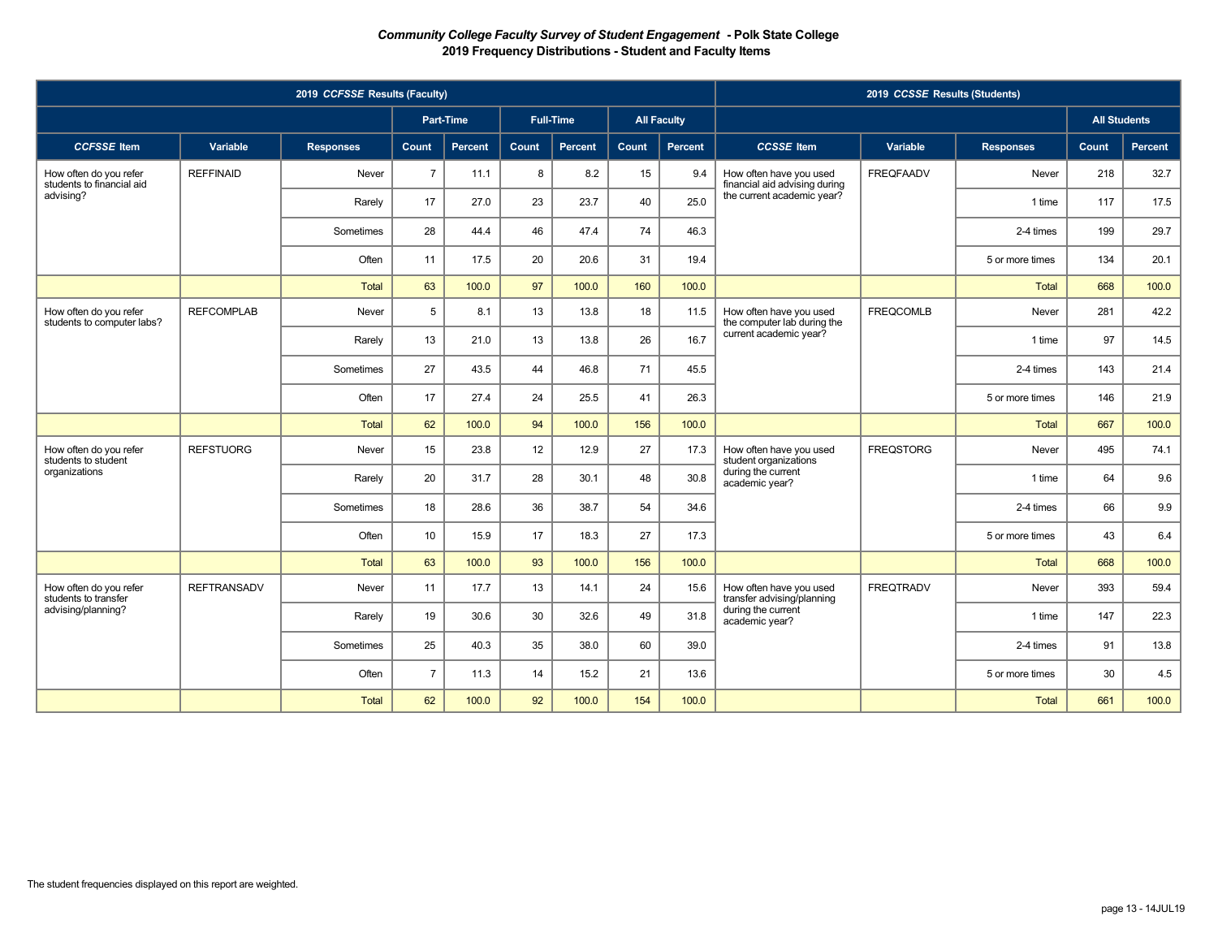|                                                                  | 2019 CCSSE Results (Students) |                                      |                |         |       |         |                    |         |                                                                                                                   |                  |                  |                     |         |
|------------------------------------------------------------------|-------------------------------|--------------------------------------|----------------|---------|-------|---------|--------------------|---------|-------------------------------------------------------------------------------------------------------------------|------------------|------------------|---------------------|---------|
|                                                                  |                               | <b>Full-Time</b><br><b>Part-Time</b> |                |         |       |         | <b>All Faculty</b> |         |                                                                                                                   |                  |                  | <b>All Students</b> |         |
| <b>CCFSSE</b> Item                                               | Variable                      | <b>Responses</b>                     | <b>Count</b>   | Percent | Count | Percent | Count              | Percent | <b>CCSSE</b> Item                                                                                                 | Variable         | <b>Responses</b> | Count               | Percent |
| How often do you refer<br>students to financial aid<br>advising? | <b>REFFINAID</b>              | Never                                | $\overline{7}$ | 11.1    | 8     | 8.2     | 15                 | 9.4     | How often have you used<br>financial aid advising during<br>the current academic year?                            | <b>FREQFAADV</b> | Never            | 218                 | 32.7    |
|                                                                  |                               | Rarely                               | 17             | 27.0    | 23    | 23.7    | 40                 | 25.0    |                                                                                                                   |                  | 1 time           | 117                 | 17.5    |
|                                                                  |                               | Sometimes                            | 28             | 44.4    | 46    | 47.4    | 74                 | 46.3    |                                                                                                                   |                  | 2-4 times        | 199                 | 29.7    |
|                                                                  |                               | Often                                | 11             | 17.5    | 20    | 20.6    | 31                 | 19.4    |                                                                                                                   |                  | 5 or more times  | 134                 | 20.1    |
|                                                                  |                               | <b>Total</b>                         | 63             | 100.0   | 97    | 100.0   | 160                | 100.0   |                                                                                                                   |                  | <b>Total</b>     | 668                 | 100.0   |
| How often do you refer<br>students to computer labs?             | <b>REFCOMPLAB</b>             | Never                                | 5              | 8.1     | 13    | 13.8    | 18                 | 11.5    | How often have you used<br>the computer lab during the<br>current academic year?                                  | <b>FREQCOMLB</b> | Never            | 281                 | 42.2    |
|                                                                  |                               | Rarely                               | 13             | 21.0    | 13    | 13.8    | 26                 | 16.7    |                                                                                                                   |                  | 1 time           | 97                  | 14.5    |
|                                                                  |                               | Sometimes                            | 27             | 43.5    | 44    | 46.8    | 71                 | 45.5    |                                                                                                                   |                  | 2-4 times        | 143                 | 21.4    |
|                                                                  |                               | Often                                | 17             | 27.4    | 24    | 25.5    | 41                 | 26.3    |                                                                                                                   |                  | 5 or more times  | 146                 | 21.9    |
|                                                                  |                               | <b>Total</b>                         | 62             | 100.0   | 94    | 100.0   | 156                | 100.0   |                                                                                                                   |                  | Total            | 667                 | 100.0   |
| How often do you refer<br>students to student                    | <b>REFSTUORG</b>              | Never                                | 15             | 23.8    | 12    | 12.9    | 27                 | 17.3    | How often have you used<br>student organizations<br>during the current<br>academic year?                          | <b>FREQSTORG</b> | Never            | 495                 | 74.1    |
| organizations                                                    |                               | Rarely                               | 20             | 31.7    | 28    | 30.1    | 48                 | 30.8    |                                                                                                                   |                  | 1 time           | 64                  | 9.6     |
|                                                                  |                               | Sometimes                            | 18             | 28.6    | 36    | 38.7    | 54                 | 34.6    |                                                                                                                   |                  | 2-4 times        | 66                  | 9.9     |
|                                                                  |                               | Often                                | 10             | 15.9    | 17    | 18.3    | 27                 | 17.3    |                                                                                                                   |                  | 5 or more times  | 43                  | 6.4     |
|                                                                  |                               | <b>Total</b>                         | 63             | 100.0   | 93    | 100.0   | 156                | 100.0   |                                                                                                                   |                  | <b>Total</b>     | 668                 | 100.0   |
| How often do you refer<br>students to transfer                   | <b>REFTRANSADV</b>            | Never                                | 11             | 17.7    | 13    | 14.1    | 24                 | 15.6    | <b>FREQTRADV</b><br>How often have you used<br>transfer advising/planning<br>during the current<br>academic year? |                  | Never            | 393                 | 59.4    |
| advising/planning?                                               |                               | Rarely                               | 19             | 30.6    | 30    | 32.6    | 49                 | 31.8    |                                                                                                                   |                  | 1 time           | 147                 | 22.3    |
|                                                                  |                               | Sometimes                            | 25             | 40.3    | 35    | 38.0    | 60                 | 39.0    |                                                                                                                   |                  | 2-4 times        | 91                  | 13.8    |
|                                                                  |                               | Often                                | $\overline{7}$ | 11.3    | 14    | 15.2    | 21                 | 13.6    |                                                                                                                   |                  | 5 or more times  | 30                  | 4.5     |
|                                                                  |                               | <b>Total</b>                         | 62             | 100.0   | 92    | 100.0   | 154                | 100.0   |                                                                                                                   |                  | Total            | 661                 | 100.0   |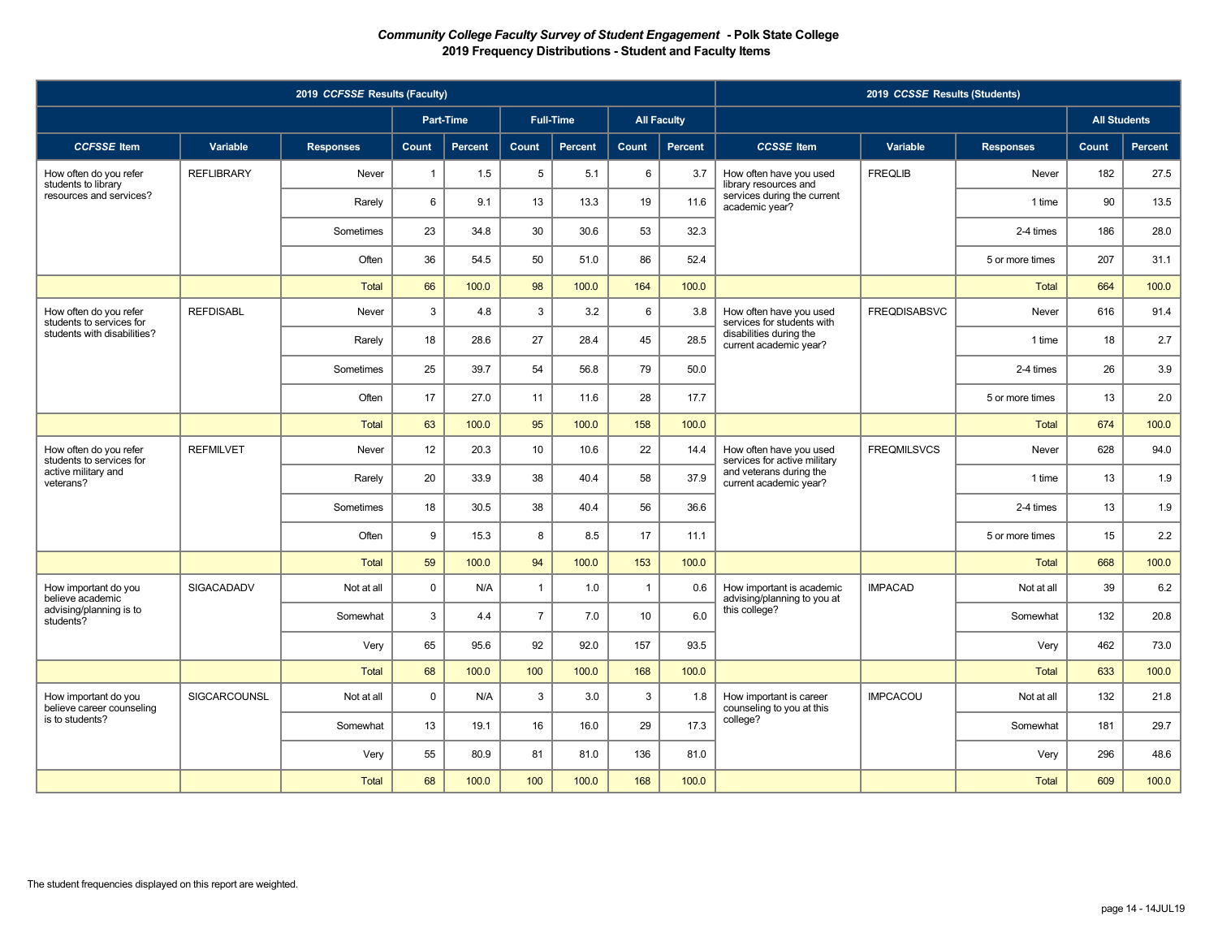| 2019 CCFSSE Results (Faculty)                      |                     |                  |                |         |                  |                |                |                    | 2019 CCSSE Results (Students)                                                                                |                     |                  |       |                     |  |
|----------------------------------------------------|---------------------|------------------|----------------|---------|------------------|----------------|----------------|--------------------|--------------------------------------------------------------------------------------------------------------|---------------------|------------------|-------|---------------------|--|
|                                                    |                     |                  | Part-Time      |         | <b>Full-Time</b> |                |                | <b>All Faculty</b> |                                                                                                              |                     |                  |       | <b>All Students</b> |  |
| <b>CCFSSE</b> Item                                 | Variable            | <b>Responses</b> | Count          | Percent | Count            | <b>Percent</b> | Count          | Percent            | <b>CCSSE</b> Item                                                                                            | Variable            | <b>Responses</b> | Count | Percent             |  |
| How often do you refer<br>students to library      | <b>REFLIBRARY</b>   | Never            | $\overline{1}$ | 1.5     | 5                | 5.1            | 6              | 3.7                | How often have you used<br>library resources and                                                             | <b>FREQLIB</b>      | Never            | 182   | 27.5                |  |
| resources and services?                            |                     | Rarely           | 6              | 9.1     | 13               | 13.3           | 19             | 11.6               | services during the current<br>academic year?                                                                |                     | 1 time           | 90    | 13.5                |  |
|                                                    |                     | Sometimes        | 23             | 34.8    | 30               | 30.6           | 53             | 32.3               |                                                                                                              |                     | 2-4 times        | 186   | 28.0                |  |
|                                                    |                     | Often            | 36             | 54.5    | 50               | 51.0           | 86             | 52.4               |                                                                                                              |                     | 5 or more times  | 207   | 31.1                |  |
|                                                    |                     | <b>Total</b>     | 66             | 100.0   | 98               | 100.0          | 164            | 100.0              |                                                                                                              |                     | Total            | 664   | 100.0               |  |
| How often do you refer<br>students to services for | <b>REFDISABL</b>    | Never            | 3              | 4.8     | 3                | 3.2            | 6              | 3.8                | How often have you used<br>services for students with                                                        | <b>FREQDISABSVC</b> | Never            | 616   | 91.4                |  |
| students with disabilities?                        |                     | Rarely           | 18             | 28.6    | 27               | 28.4           | 45             | 28.5               | disabilities during the<br>current academic year?                                                            |                     | 1 time           | 18    | 2.7                 |  |
|                                                    |                     | Sometimes        | 25             | 39.7    | 54               | 56.8           | 79             | 50.0               |                                                                                                              |                     | 2-4 times        | 26    | 3.9                 |  |
|                                                    |                     | Often            | 17             | 27.0    | 11               | 11.6           | 28             | 17.7               |                                                                                                              |                     | 5 or more times  | 13    | 2.0                 |  |
|                                                    |                     | <b>Total</b>     | 63             | 100.0   | 95               | 100.0          | 158            | 100.0              |                                                                                                              |                     | Total            | 674   | 100.0               |  |
| How often do you refer<br>students to services for | <b>REFMILVET</b>    | Never            | 12             | 20.3    | 10               | 10.6           | 22             | 14.4               | How often have you used<br>services for active military<br>and veterans during the<br>current academic year? | <b>FREQMILSVCS</b>  | Never            | 628   | 94.0                |  |
| active military and<br>veterans?                   |                     | Rarely           | 20             | 33.9    | 38               | 40.4           | 58             | 37.9               |                                                                                                              |                     | 1 time           | 13    | 1.9                 |  |
|                                                    |                     | Sometimes        | 18             | 30.5    | 38               | 40.4           | 56             | 36.6               |                                                                                                              |                     | 2-4 times        | 13    | 1.9                 |  |
|                                                    |                     | Often            | 9              | 15.3    | 8                | 8.5            | 17             | 11.1               |                                                                                                              |                     | 5 or more times  | 15    | 2.2                 |  |
|                                                    |                     | <b>Total</b>     | 59             | 100.0   | 94               | 100.0          | 153            | 100.0              |                                                                                                              |                     | <b>Total</b>     | 668   | 100.0               |  |
| How important do you<br>believe academic           | <b>SIGACADADV</b>   | Not at all       | $\mathbf 0$    | N/A     | $\mathbf{1}$     | 1.0            | $\overline{1}$ | 0.6                | How important is academic<br>advising/planning to you at<br>this college?                                    | <b>IMPACAD</b>      | Not at all       | 39    | 6.2                 |  |
| advising/planning is to<br>students?               |                     | Somewhat         | 3              | 4.4     | $\overline{7}$   | 7.0            | 10             | 6.0                |                                                                                                              |                     | Somewhat         | 132   | 20.8                |  |
|                                                    |                     | Very             | 65             | 95.6    | 92               | 92.0           | 157            | 93.5               |                                                                                                              |                     | Very             | 462   | 73.0                |  |
|                                                    |                     | <b>Total</b>     | 68             | 100.0   | 100              | 100.0          | 168            | 100.0              |                                                                                                              |                     | <b>Total</b>     | 633   | 100.0               |  |
| How important do you<br>believe career counseling  | <b>SIGCARCOUNSL</b> | Not at all       | $\mathbf 0$    | N/A     | 3                | 3.0            | 3              | 1.8                | How important is career<br>counseling to you at this<br>college?                                             | <b>IMPCACOU</b>     | Not at all       | 132   | 21.8                |  |
| is to students?                                    |                     | Somewhat         | 13             | 19.1    | 16               | 16.0           | 29             | 17.3               |                                                                                                              |                     | Somewhat         | 181   | 29.7                |  |
|                                                    |                     | Very             | 55             | 80.9    | 81               | 81.0           | 136            | 81.0               |                                                                                                              |                     | Very             | 296   | 48.6                |  |
|                                                    |                     | <b>Total</b>     | 68             | 100.0   | 100              | 100.0          | 168            | 100.0              |                                                                                                              |                     | <b>Total</b>     | 609   | 100.0               |  |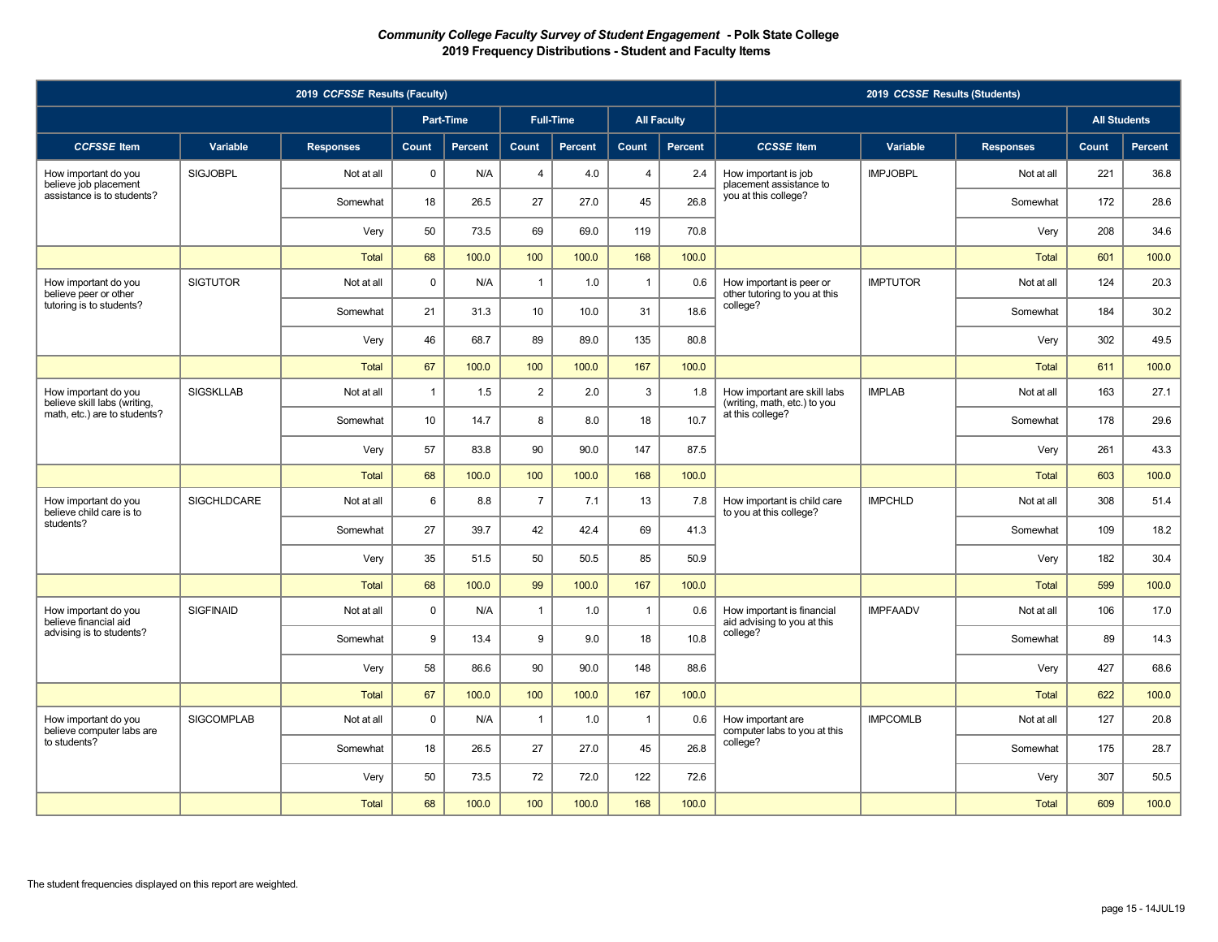| 2019 CCFSSE Results (Faculty)                                               |                    |                  |                |                |                |                  |                |                    | 2019 CCSSE Results (Students)                                                    |                 |                  |          |                     |      |
|-----------------------------------------------------------------------------|--------------------|------------------|----------------|----------------|----------------|------------------|----------------|--------------------|----------------------------------------------------------------------------------|-----------------|------------------|----------|---------------------|------|
|                                                                             |                    |                  |                | Part-Time      |                | <b>Full-Time</b> |                | <b>All Faculty</b> |                                                                                  |                 |                  |          | <b>All Students</b> |      |
| <b>CCFSSE</b> Item                                                          | Variable           | <b>Responses</b> | Count          | <b>Percent</b> | Count          | <b>Percent</b>   | Count          | <b>Percent</b>     | <b>CCSSE</b> Item                                                                | Variable        | <b>Responses</b> | Count    | <b>Percent</b>      |      |
| How important do you<br>believe job placement<br>assistance is to students? | <b>SIGJOBPL</b>    | Not at all       | $\mathbf 0$    | N/A            | $\overline{4}$ | 4.0              | $\overline{4}$ | 2.4                | How important is job<br>placement assistance to                                  | <b>IMPJOBPL</b> | Not at all       | 221      | 36.8                |      |
|                                                                             |                    | Somewhat         | 18             | 26.5           | 27             | 27.0             | 45             | 26.8               | you at this college?                                                             |                 | Somewhat         | 172      | 28.6                |      |
|                                                                             |                    | Very             | 50             | 73.5           | 69             | 69.0             | 119            | 70.8               |                                                                                  |                 | Very             | 208      | 34.6                |      |
|                                                                             |                    | <b>Total</b>     | 68             | 100.0          | 100            | 100.0            | 168            | 100.0              |                                                                                  |                 | <b>Total</b>     | 601      | 100.0               |      |
| How important do you<br>believe peer or other                               | <b>SIGTUTOR</b>    | Not at all       | $\mathbf 0$    | N/A            | $\overline{1}$ | 1.0              | $\overline{1}$ | 0.6                | How important is peer or<br>other tutoring to you at this                        | <b>IMPTUTOR</b> | Not at all       | 124      | 20.3                |      |
| tutoring is to students?                                                    |                    | Somewhat         | 21             | 31.3           | 10             | 10.0             | 31             | 18.6               | college?                                                                         |                 | Somewhat         | 184      | 30.2                |      |
|                                                                             |                    | Very             | 46             | 68.7           | 89             | 89.0             | 135            | 80.8               |                                                                                  |                 | Very             | 302      | 49.5                |      |
|                                                                             |                    | <b>Total</b>     | 67             | 100.0          | 100            | 100.0            | 167            | 100.0              |                                                                                  |                 | <b>Total</b>     | 611      | 100.0               |      |
| How important do you<br>believe skill labs (writing,                        | <b>SIGSKLLAB</b>   | Not at all       | $\overline{1}$ | 1.5            | $\overline{2}$ | 2.0              | 3              | 1.8                | How important are skill labs<br>(writing, math, etc.) to you<br>at this college? | <b>IMPLAB</b>   | Not at all       | 163      | 27.1                |      |
| math, etc.) are to students?                                                |                    | Somewhat         | 10             | 14.7           | 8              | 8.0              | 18             | 10.7               |                                                                                  |                 | Somewhat         | 178      | 29.6                |      |
|                                                                             |                    | Very             | 57             | 83.8           | 90             | 90.0             | 147            | 87.5               |                                                                                  |                 | Very             | 261      | 43.3                |      |
|                                                                             |                    | <b>Total</b>     | 68             | 100.0          | 100            | 100.0            | 168            | 100.0              |                                                                                  |                 | <b>Total</b>     | 603      | 100.0               |      |
| How important do you<br>believe child care is to                            | <b>SIGCHLDCARE</b> | Not at all       | 6              | 8.8            | $\overline{7}$ | 7.1              | 13             | 7.8                | <b>IMPCHLD</b><br>How important is child care<br>to you at this college?         |                 | Not at all       | 308      | 51.4                |      |
| students?                                                                   |                    | Somewhat         | 27             | 39.7           | 42             | 42.4             | 69             | 41.3               |                                                                                  |                 | Somewhat         | 109      | 18.2                |      |
|                                                                             |                    | Very             | 35             | 51.5           | 50             | 50.5             | 85             | 50.9               |                                                                                  |                 | Very             | 182      | 30.4                |      |
|                                                                             |                    | <b>Total</b>     | 68             | 100.0          | 99             | 100.0            | 167            | 100.0              |                                                                                  |                 | <b>Total</b>     | 599      | 100.0               |      |
| How important do you<br>believe financial aid                               | <b>SIGFINAID</b>   | Not at all       | $\mathbf 0$    | N/A            | $\overline{1}$ | 1.0              | $\overline{1}$ | 0.6                | How important is financial<br>aid advising to you at this                        | <b>IMPFAADV</b> | Not at all       | 106      | 17.0                |      |
| advising is to students?                                                    |                    |                  | Somewhat       | 9              | 13.4           | 9                | 9.0            | 18                 | 10.8                                                                             | college?        |                  | Somewhat | 89                  | 14.3 |
|                                                                             |                    | Very             | 58             | 86.6           | 90             | 90.0             | 148            | 88.6               |                                                                                  |                 | Very             | 427      | 68.6                |      |
|                                                                             |                    | <b>Total</b>     | 67             | 100.0          | 100            | 100.0            | 167            | 100.0              |                                                                                  |                 | <b>Total</b>     | 622      | 100.0               |      |
| How important do you<br>believe computer labs are                           | <b>SIGCOMPLAB</b>  | Not at all       | $\mathbf 0$    | N/A            | $\overline{1}$ | 1.0              | $\overline{1}$ | 0.6                | How important are<br>computer labs to you at this<br>college?                    | <b>IMPCOMLB</b> | Not at all       | 127      | 20.8                |      |
| to students?                                                                |                    | Somewhat         | 18             | 26.5           | 27             | 27.0             | 45             | 26.8               |                                                                                  |                 | Somewhat         | 175      | 28.7                |      |
|                                                                             |                    | Very             | 50             | 73.5           | 72             | 72.0             | 122            | 72.6               |                                                                                  |                 | Very             | 307      | 50.5                |      |
|                                                                             |                    | <b>Total</b>     | 68             | 100.0          | 100            | 100.0            | 168            | 100.0              |                                                                                  |                 | <b>Total</b>     | 609      | 100.0               |      |